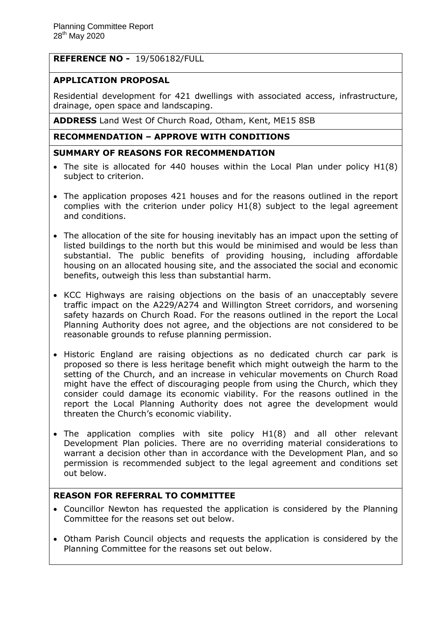# **REFERENCE NO -** 19/506182/FULL

# **APPLICATION PROPOSAL**

Residential development for 421 dwellings with associated access, infrastructure, drainage, open space and landscaping.

**ADDRESS** Land West Of Church Road, Otham, Kent, ME15 8SB

# **RECOMMENDATION – APPROVE WITH CONDITIONS**

### **SUMMARY OF REASONS FOR RECOMMENDATION**

- The site is allocated for 440 houses within the Local Plan under policy H1(8) subject to criterion.
- The application proposes 421 houses and for the reasons outlined in the report complies with the criterion under policy H1(8) subject to the legal agreement and conditions.
- The allocation of the site for housing inevitably has an impact upon the setting of listed buildings to the north but this would be minimised and would be less than substantial. The public benefits of providing housing, including affordable housing on an allocated housing site, and the associated the social and economic benefits, outweigh this less than substantial harm.
- KCC Highways are raising objections on the basis of an unacceptably severe traffic impact on the A229/A274 and Willington Street corridors, and worsening safety hazards on Church Road. For the reasons outlined in the report the Local Planning Authority does not agree, and the objections are not considered to be reasonable grounds to refuse planning permission.
- Historic England are raising objections as no dedicated church car park is proposed so there is less heritage benefit which might outweigh the harm to the setting of the Church, and an increase in vehicular movements on Church Road might have the effect of discouraging people from using the Church, which they consider could damage its economic viability. For the reasons outlined in the report the Local Planning Authority does not agree the development would threaten the Church's economic viability.
- The application complies with site policy H1(8) and all other relevant Development Plan policies. There are no overriding material considerations to warrant a decision other than in accordance with the Development Plan, and so permission is recommended subject to the legal agreement and conditions set out below.

## **REASON FOR REFERRAL TO COMMITTEE**

- Councillor Newton has requested the application is considered by the Planning Committee for the reasons set out below.
- Otham Parish Council objects and requests the application is considered by the Planning Committee for the reasons set out below.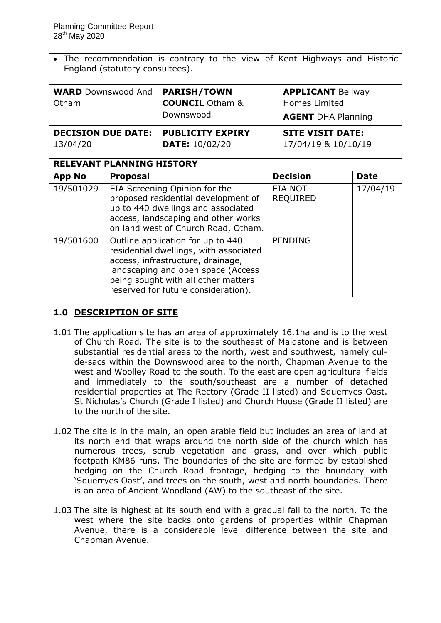The recommendation is contrary to the view of Kent Highways and Historic England (statutory consultees).

| <b>WARD</b> Downswood And<br>Otham    |                                                                                                                                                                                                                                      | <b>PARISH/TOWN</b><br><b>COUNCIL</b> Otham &<br>Downswood |  | <b>APPLICANT Bellway</b><br><b>Homes Limited</b><br><b>AGENT</b> DHA Planning |             |
|---------------------------------------|--------------------------------------------------------------------------------------------------------------------------------------------------------------------------------------------------------------------------------------|-----------------------------------------------------------|--|-------------------------------------------------------------------------------|-------------|
| <b>DECISION DUE DATE:</b><br>13/04/20 |                                                                                                                                                                                                                                      | <b>PUBLICITY EXPIRY</b><br><b>DATE: 10/02/20</b>          |  | <b>SITE VISIT DATE:</b><br>17/04/19 & 10/10/19                                |             |
| <b>RELEVANT PLANNING HISTORY</b>      |                                                                                                                                                                                                                                      |                                                           |  |                                                                               |             |
| <b>App No</b>                         | <b>Proposal</b>                                                                                                                                                                                                                      |                                                           |  | <b>Decision</b>                                                               | <b>Date</b> |
| 19/501029                             | EIA Screening Opinion for the<br>proposed residential development of<br>up to 440 dwellings and associated<br>access, landscaping and other works<br>on land west of Church Road, Otham.                                             |                                                           |  | EIA NOT<br>17/04/19<br><b>REQUIRED</b>                                        |             |
| 19/501600                             | Outline application for up to 440<br>residential dwellings, with associated<br>access, infrastructure, drainage,<br>landscaping and open space (Access<br>being sought with all other matters<br>reserved for future consideration). |                                                           |  | <b>PENDING</b>                                                                |             |

# **1.0 DESCRIPTION OF SITE**

- 1.01 The application site has an area of approximately 16.1ha and is to the west of Church Road. The site is to the southeast of Maidstone and is between substantial residential areas to the north, west and southwest, namely culde-sacs within the Downswood area to the north, Chapman Avenue to the west and Woolley Road to the south. To the east are open agricultural fields and immediately to the south/southeast are a number of detached residential properties at The Rectory (Grade II listed) and Squerryes Oast. St Nicholas's Church (Grade I listed) and Church House (Grade II listed) are to the north of the site.
- 1.02 The site is in the main, an open arable field but includes an area of land at its north end that wraps around the north side of the church which has numerous trees, scrub vegetation and grass, and over which public footpath KM86 runs. The boundaries of the site are formed by established hedging on the Church Road frontage, hedging to the boundary with 'Squerryes Oast', and trees on the south, west and north boundaries. There is an area of Ancient Woodland (AW) to the southeast of the site.
- 1.03 The site is highest at its south end with a gradual fall to the north. To the west where the site backs onto gardens of properties within Chapman Avenue, there is a considerable level difference between the site and Chapman Avenue.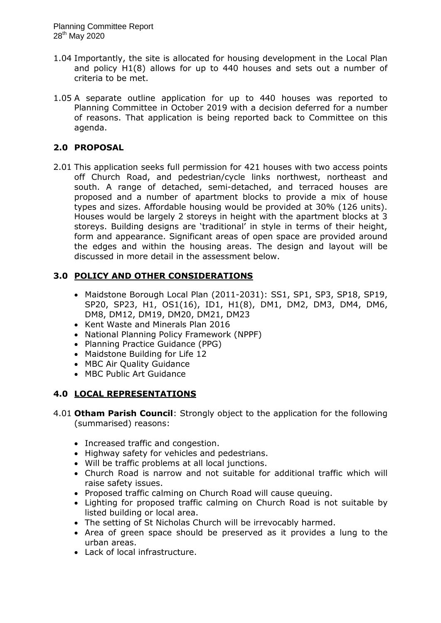- 1.04 Importantly, the site is allocated for housing development in the Local Plan and policy H1(8) allows for up to 440 houses and sets out a number of criteria to be met.
- 1.05 A separate outline application for up to 440 houses was reported to Planning Committee in October 2019 with a decision deferred for a number of reasons. That application is being reported back to Committee on this agenda.

# **2.0 PROPOSAL**

2.01 This application seeks full permission for 421 houses with two access points off Church Road, and pedestrian/cycle links northwest, northeast and south. A range of detached, semi-detached, and terraced houses are proposed and a number of apartment blocks to provide a mix of house types and sizes. Affordable housing would be provided at 30% (126 units). Houses would be largely 2 storeys in height with the apartment blocks at 3 storeys. Building designs are 'traditional' in style in terms of their height, form and appearance. Significant areas of open space are provided around the edges and within the housing areas. The design and layout will be discussed in more detail in the assessment below.

# **3.0 POLICY AND OTHER CONSIDERATIONS**

- Maidstone Borough Local Plan (2011-2031): SS1, SP1, SP3, SP18, SP19, SP20, SP23, H1, OS1(16), ID1, H1(8), DM1, DM2, DM3, DM4, DM6, DM8, DM12, DM19, DM20, DM21, DM23
- Kent Waste and Minerals Plan 2016
- National Planning Policy Framework (NPPF)
- Planning Practice Guidance (PPG)
- Maidstone Building for Life 12
- MBC Air Quality Guidance
- MBC Public Art Guidance

# **4.0 LOCAL REPRESENTATIONS**

- 4.01 **Otham Parish Council**: Strongly object to the application for the following (summarised) reasons:
	- Increased traffic and congestion.
	- Highway safety for vehicles and pedestrians.
	- Will be traffic problems at all local junctions.
	- Church Road is narrow and not suitable for additional traffic which will raise safety issues.
	- Proposed traffic calming on Church Road will cause queuing.
	- Lighting for proposed traffic calming on Church Road is not suitable by listed building or local area.
	- The setting of St Nicholas Church will be irrevocably harmed.
	- Area of green space should be preserved as it provides a lung to the urban areas.
	- Lack of local infrastructure.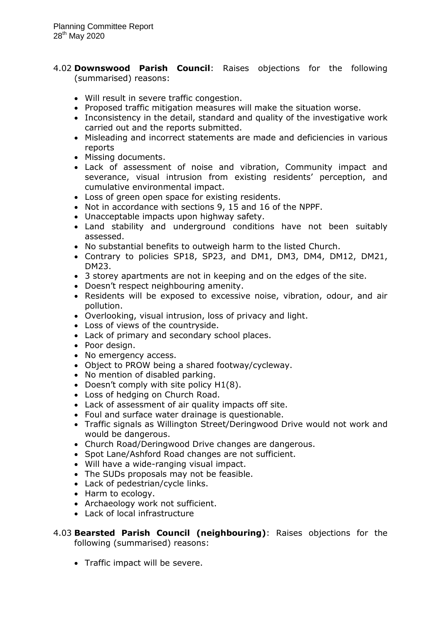- 4.02 **Downswood Parish Council**: Raises objections for the following (summarised) reasons:
	- Will result in severe traffic congestion.
	- Proposed traffic mitigation measures will make the situation worse.
	- Inconsistency in the detail, standard and quality of the investigative work carried out and the reports submitted.
	- Misleading and incorrect statements are made and deficiencies in various reports
	- Missing documents.
	- Lack of assessment of noise and vibration, Community impact and severance, visual intrusion from existing residents' perception, and cumulative environmental impact.
	- Loss of green open space for existing residents.
	- Not in accordance with sections 9, 15 and 16 of the NPPF.
	- Unacceptable impacts upon highway safety.
	- Land stability and underground conditions have not been suitably assessed.
	- No substantial benefits to outweigh harm to the listed Church.
	- Contrary to policies SP18, SP23, and DM1, DM3, DM4, DM12, DM21, DM23.
	- 3 storey apartments are not in keeping and on the edges of the site.
	- Doesn't respect neighbouring amenity.
	- Residents will be exposed to excessive noise, vibration, odour, and air pollution.
	- Overlooking, visual intrusion, loss of privacy and light.
	- Loss of views of the countryside.
	- Lack of primary and secondary school places.
	- Poor design.
	- No emergency access.
	- Object to PROW being a shared footway/cycleway.
	- No mention of disabled parking.
	- Doesn't comply with site policy H1(8).
	- Loss of hedging on Church Road.
	- Lack of assessment of air quality impacts off site.
	- Foul and surface water drainage is questionable.
	- Traffic signals as Willington Street/Deringwood Drive would not work and would be dangerous.
	- Church Road/Deringwood Drive changes are dangerous.
	- Spot Lane/Ashford Road changes are not sufficient.
	- Will have a wide-ranging visual impact.
	- The SUDs proposals may not be feasible.
	- Lack of pedestrian/cycle links.
	- Harm to ecology.
	- Archaeology work not sufficient.
	- Lack of local infrastructure
- 4.03 **Bearsted Parish Council (neighbouring)**: Raises objections for the following (summarised) reasons:
	- Traffic impact will be severe.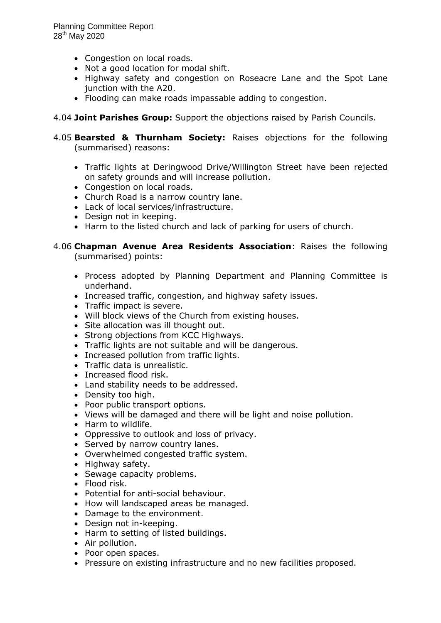- Congestion on local roads.
- Not a good location for modal shift.
- Highway safety and congestion on Roseacre Lane and the Spot Lane junction with the A20.
- Flooding can make roads impassable adding to congestion.
- 4.04 **Joint Parishes Group:** Support the objections raised by Parish Councils.
- 4.05 **Bearsted & Thurnham Society:** Raises objections for the following (summarised) reasons:
	- Traffic lights at Deringwood Drive/Willington Street have been rejected on safety grounds and will increase pollution.
	- Congestion on local roads.
	- Church Road is a narrow country lane.
	- Lack of local services/infrastructure.
	- Design not in keeping.
	- Harm to the listed church and lack of parking for users of church.

### 4.06 **Chapman Avenue Area Residents Association**: Raises the following (summarised) points:

- Process adopted by Planning Department and Planning Committee is underhand.
- Increased traffic, congestion, and highway safety issues.
- Traffic impact is severe.
- Will block views of the Church from existing houses.
- Site allocation was ill thought out.
- Strong objections from KCC Highways.
- Traffic lights are not suitable and will be dangerous.
- Increased pollution from traffic lights.
- Traffic data is unrealistic.
- Increased flood risk.
- Land stability needs to be addressed.
- Density too high.
- Poor public transport options.
- Views will be damaged and there will be light and noise pollution.
- Harm to wildlife.
- Oppressive to outlook and loss of privacy.
- Served by narrow country lanes.
- Overwhelmed congested traffic system.
- Highway safety.
- Sewage capacity problems.
- Flood risk.
- Potential for anti-social behaviour.
- How will landscaped areas be managed.
- Damage to the environment.
- Design not in-keeping.
- Harm to setting of listed buildings.
- Air pollution.
- Poor open spaces.
- Pressure on existing infrastructure and no new facilities proposed.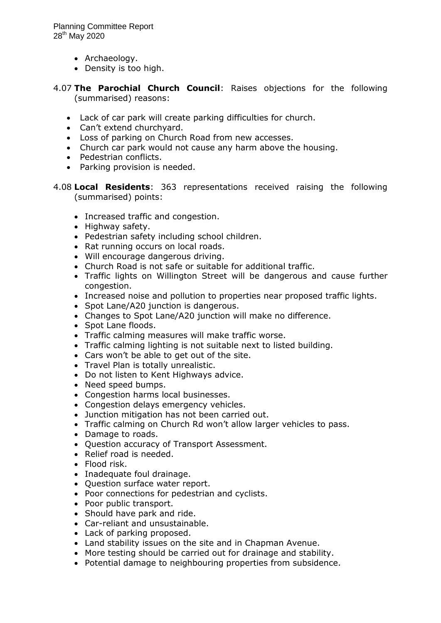- Archaeology.
- Density is too high.
- 4.07 **The Parochial Church Council**: Raises objections for the following (summarised) reasons:
	- Lack of car park will create parking difficulties for church.
	- Can't extend churchyard.
	- Loss of parking on Church Road from new accesses.
	- Church car park would not cause any harm above the housing.
	- Pedestrian conflicts.
	- Parking provision is needed.
- 4.08 **Local Residents**: 363 representations received raising the following (summarised) points:
	- Increased traffic and congestion.
	- Highway safety.
	- Pedestrian safety including school children.
	- Rat running occurs on local roads.
	- Will encourage dangerous driving.
	- Church Road is not safe or suitable for additional traffic.
	- Traffic lights on Willington Street will be dangerous and cause further congestion.
	- Increased noise and pollution to properties near proposed traffic lights.
	- Spot Lane/A20 junction is dangerous.
	- Changes to Spot Lane/A20 junction will make no difference.
	- Spot Lane floods.
	- Traffic calming measures will make traffic worse.
	- Traffic calming lighting is not suitable next to listed building.
	- Cars won't be able to get out of the site.
	- Travel Plan is totally unrealistic.
	- Do not listen to Kent Highways advice.
	- Need speed bumps.
	- Congestion harms local businesses.
	- Congestion delays emergency vehicles.
	- Junction mitigation has not been carried out.
	- Traffic calming on Church Rd won't allow larger vehicles to pass.
	- Damage to roads.
	- Question accuracy of Transport Assessment.
	- Relief road is needed.
	- Flood risk.
	- Inadequate foul drainage.
	- Ouestion surface water report.
	- Poor connections for pedestrian and cyclists.
	- Poor public transport.
	- Should have park and ride.
	- Car-reliant and unsustainable.
	- Lack of parking proposed.
	- Land stability issues on the site and in Chapman Avenue.
	- More testing should be carried out for drainage and stability.
	- Potential damage to neighbouring properties from subsidence.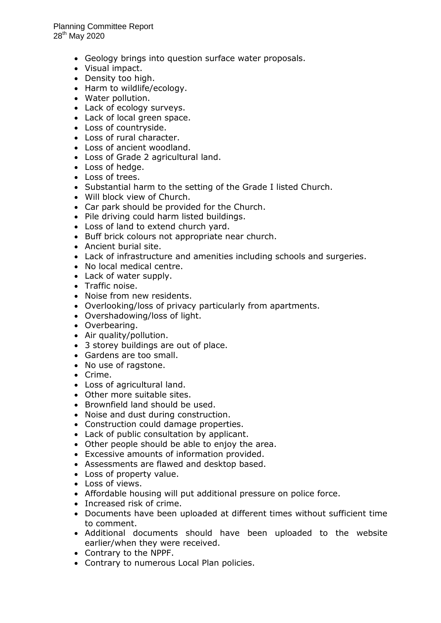- Geology brings into question surface water proposals.
- Visual impact.
- Density too high.
- Harm to wildlife/ecology.
- Water pollution.
- Lack of ecology surveys.
- Lack of local green space.
- Loss of countryside.
- Loss of rural character.
- Loss of ancient woodland.
- Loss of Grade 2 agricultural land.
- Loss of hedge.
- Loss of trees.
- Substantial harm to the setting of the Grade I listed Church.
- Will block view of Church.
- Car park should be provided for the Church.
- Pile driving could harm listed buildings.
- Loss of land to extend church yard.
- Buff brick colours not appropriate near church.
- Ancient burial site.
- Lack of infrastructure and amenities including schools and surgeries.
- No local medical centre.
- Lack of water supply.
- Traffic noise.
- Noise from new residents.
- Overlooking/loss of privacy particularly from apartments.
- Overshadowing/loss of light.
- Overbearing.
- Air quality/pollution.
- 3 storey buildings are out of place.
- Gardens are too small.
- No use of ragstone.
- Crime.
- Loss of agricultural land.
- Other more suitable sites.
- Brownfield land should be used.
- Noise and dust during construction.
- Construction could damage properties.
- Lack of public consultation by applicant.
- Other people should be able to enjoy the area.
- Excessive amounts of information provided.
- Assessments are flawed and desktop based.
- Loss of property value.
- Loss of views.
- Affordable housing will put additional pressure on police force.
- Increased risk of crime.
- Documents have been uploaded at different times without sufficient time to comment.
- Additional documents should have been uploaded to the website earlier/when they were received.
- Contrary to the NPPF.
- Contrary to numerous Local Plan policies.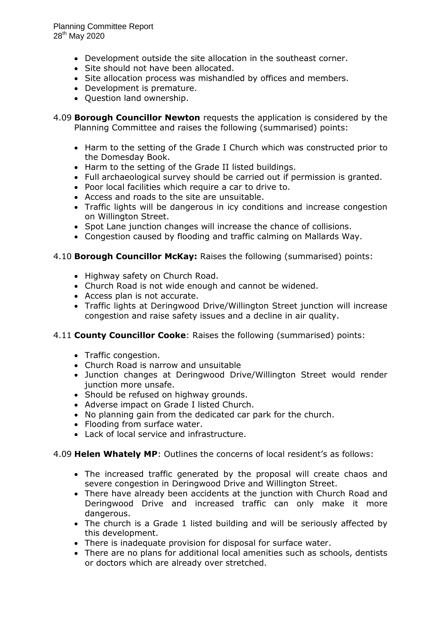Planning Committee Report  $28^{th}$  May 2020

- Development outside the site allocation in the southeast corner.
- Site should not have been allocated.
- Site allocation process was mishandled by offices and members.
- Development is premature.
- Question land ownership.

4.09 **Borough Councillor Newton** requests the application is considered by the Planning Committee and raises the following (summarised) points:

- Harm to the setting of the Grade I Church which was constructed prior to the Domesday Book.
- Harm to the setting of the Grade II listed buildings.
- Full archaeological survey should be carried out if permission is granted.
- Poor local facilities which require a car to drive to.
- Access and roads to the site are unsuitable.
- Traffic lights will be dangerous in icy conditions and increase congestion on Willington Street.
- Spot Lane junction changes will increase the chance of collisions.
- Congestion caused by flooding and traffic calming on Mallards Way.

### 4.10 **Borough Councillor McKay:** Raises the following (summarised) points:

- Highway safety on Church Road.
- Church Road is not wide enough and cannot be widened.
- Access plan is not accurate.
- Traffic lights at Deringwood Drive/Willington Street junction will increase congestion and raise safety issues and a decline in air quality.

### 4.11 **County Councillor Cooke**: Raises the following (summarised) points:

- Traffic congestion.
- Church Road is narrow and unsuitable
- Junction changes at Deringwood Drive/Willington Street would render junction more unsafe.
- Should be refused on highway grounds.
- Adverse impact on Grade I listed Church.
- No planning gain from the dedicated car park for the church.
- Flooding from surface water.
- Lack of local service and infrastructure.

### 4.09 **Helen Whately MP**: Outlines the concerns of local resident's as follows:

- The increased traffic generated by the proposal will create chaos and severe congestion in Deringwood Drive and Willington Street.
- There have already been accidents at the junction with Church Road and Deringwood Drive and increased traffic can only make it more dangerous.
- The church is a Grade 1 listed building and will be seriously affected by this development.
- There is inadequate provision for disposal for surface water.
- There are no plans for additional local amenities such as schools, dentists or doctors which are already over stretched.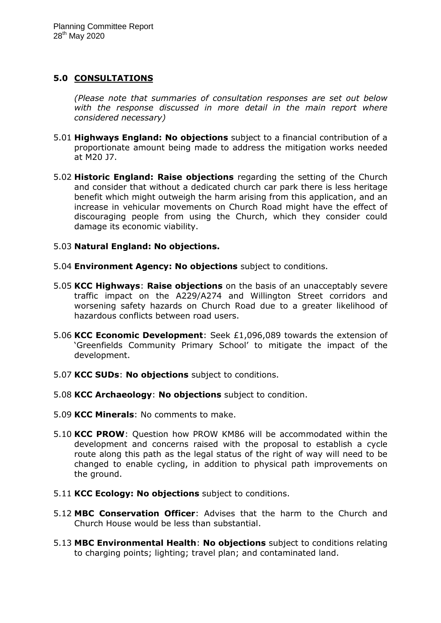# **5.0 CONSULTATIONS**

*(Please note that summaries of consultation responses are set out below*  with the response discussed in more detail in the main report where *considered necessary)*

- 5.01 **Highways England: No objections** subject to a financial contribution of a proportionate amount being made to address the mitigation works needed at M20 J7.
- 5.02 **Historic England: Raise objections** regarding the setting of the Church and consider that without a dedicated church car park there is less heritage benefit which might outweigh the harm arising from this application, and an increase in vehicular movements on Church Road might have the effect of discouraging people from using the Church, which they consider could damage its economic viability.

## 5.03 **Natural England: No objections.**

- 5.04 **Environment Agency: No objections** subject to conditions.
- 5.05 **KCC Highways**: **Raise objections** on the basis of an unacceptably severe traffic impact on the A229/A274 and Willington Street corridors and worsening safety hazards on Church Road due to a greater likelihood of hazardous conflicts between road users.
- 5.06 **KCC Economic Development**: Seek £1,096,089 towards the extension of 'Greenfields Community Primary School' to mitigate the impact of the development.
- 5.07 **KCC SUDs**: **No objections** subject to conditions.
- 5.08 **KCC Archaeology**: **No objections** subject to condition.
- 5.09 **KCC Minerals**: No comments to make.
- 5.10 **KCC PROW**: Question how PROW KM86 will be accommodated within the development and concerns raised with the proposal to establish a cycle route along this path as the legal status of the right of way will need to be changed to enable cycling, in addition to physical path improvements on the ground.
- 5.11 **KCC Ecology: No objections** subject to conditions.
- 5.12 **MBC Conservation Officer**: Advises that the harm to the Church and Church House would be less than substantial.
- 5.13 **MBC Environmental Health**: **No objections** subject to conditions relating to charging points; lighting; travel plan; and contaminated land.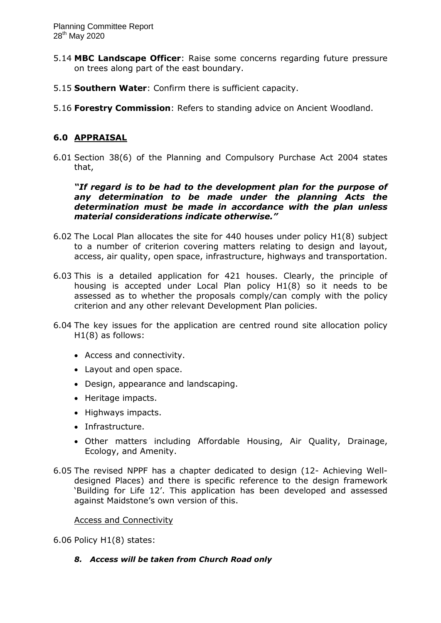- 5.14 **MBC Landscape Officer**: Raise some concerns regarding future pressure on trees along part of the east boundary.
- 5.15 **Southern Water**: Confirm there is sufficient capacity.
- 5.16 **Forestry Commission**: Refers to standing advice on Ancient Woodland.

# **6.0 APPRAISAL**

6.01 Section 38(6) of the Planning and Compulsory Purchase Act 2004 states that,

*"If regard is to be had to the development plan for the purpose of any determination to be made under the planning Acts the determination must be made in accordance with the plan unless material considerations indicate otherwise."*

- 6.02 The Local Plan allocates the site for 440 houses under policy H1(8) subject to a number of criterion covering matters relating to design and layout, access, air quality, open space, infrastructure, highways and transportation.
- 6.03 This is a detailed application for 421 houses. Clearly, the principle of housing is accepted under Local Plan policy H1(8) so it needs to be assessed as to whether the proposals comply/can comply with the policy criterion and any other relevant Development Plan policies.
- 6.04 The key issues for the application are centred round site allocation policy H1(8) as follows:
	- Access and connectivity.
	- Layout and open space.
	- Design, appearance and landscaping.
	- Heritage impacts.
	- Highways impacts.
	- Infrastructure.
	- Other matters including Affordable Housing, Air Quality, Drainage, Ecology, and Amenity.
- 6.05 The revised NPPF has a chapter dedicated to design (12- Achieving Welldesigned Places) and there is specific reference to the design framework 'Building for Life 12'. This application has been developed and assessed against Maidstone's own version of this.

### Access and Connectivity

6.06 Policy H1(8) states:

*8. Access will be taken from Church Road only*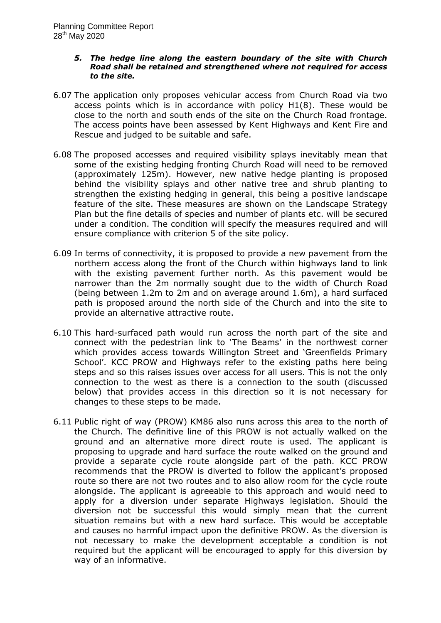#### *5. The hedge line along the eastern boundary of the site with Church Road shall be retained and strengthened where not required for access to the site.*

- 6.07 The application only proposes vehicular access from Church Road via two access points which is in accordance with policy H1(8). These would be close to the north and south ends of the site on the Church Road frontage. The access points have been assessed by Kent Highways and Kent Fire and Rescue and judged to be suitable and safe.
- 6.08 The proposed accesses and required visibility splays inevitably mean that some of the existing hedging fronting Church Road will need to be removed (approximately 125m). However, new native hedge planting is proposed behind the visibility splays and other native tree and shrub planting to strengthen the existing hedging in general, this being a positive landscape feature of the site. These measures are shown on the Landscape Strategy Plan but the fine details of species and number of plants etc. will be secured under a condition. The condition will specify the measures required and will ensure compliance with criterion 5 of the site policy.
- 6.09 In terms of connectivity, it is proposed to provide a new pavement from the northern access along the front of the Church within highways land to link with the existing pavement further north. As this pavement would be narrower than the 2m normally sought due to the width of Church Road (being between 1.2m to 2m and on average around 1.6m), a hard surfaced path is proposed around the north side of the Church and into the site to provide an alternative attractive route.
- 6.10 This hard-surfaced path would run across the north part of the site and connect with the pedestrian link to 'The Beams' in the northwest corner which provides access towards Willington Street and 'Greenfields Primary School'. KCC PROW and Highways refer to the existing paths here being steps and so this raises issues over access for all users. This is not the only connection to the west as there is a connection to the south (discussed below) that provides access in this direction so it is not necessary for changes to these steps to be made.
- 6.11 Public right of way (PROW) KM86 also runs across this area to the north of the Church. The definitive line of this PROW is not actually walked on the ground and an alternative more direct route is used. The applicant is proposing to upgrade and hard surface the route walked on the ground and provide a separate cycle route alongside part of the path. KCC PROW recommends that the PROW is diverted to follow the applicant's proposed route so there are not two routes and to also allow room for the cycle route alongside. The applicant is agreeable to this approach and would need to apply for a diversion under separate Highways legislation. Should the diversion not be successful this would simply mean that the current situation remains but with a new hard surface. This would be acceptable and causes no harmful impact upon the definitive PROW. As the diversion is not necessary to make the development acceptable a condition is not required but the applicant will be encouraged to apply for this diversion by way of an informative.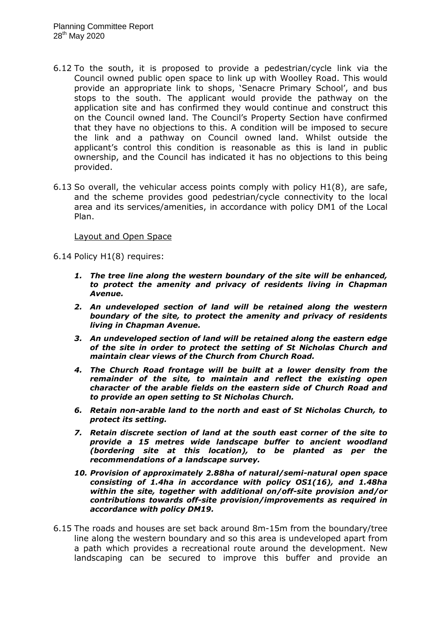- 6.12 To the south, it is proposed to provide a pedestrian/cycle link via the Council owned public open space to link up with Woolley Road. This would provide an appropriate link to shops, 'Senacre Primary School', and bus stops to the south. The applicant would provide the pathway on the application site and has confirmed they would continue and construct this on the Council owned land. The Council's Property Section have confirmed that they have no objections to this. A condition will be imposed to secure the link and a pathway on Council owned land. Whilst outside the applicant's control this condition is reasonable as this is land in public ownership, and the Council has indicated it has no objections to this being provided.
- 6.13 So overall, the vehicular access points comply with policy H1(8), are safe, and the scheme provides good pedestrian/cycle connectivity to the local area and its services/amenities, in accordance with policy DM1 of the Local Plan.

#### Layout and Open Space

6.14 Policy H1(8) requires:

- *1. The tree line along the western boundary of the site will be enhanced, to protect the amenity and privacy of residents living in Chapman Avenue.*
- *2. An undeveloped section of land will be retained along the western boundary of the site, to protect the amenity and privacy of residents living in Chapman Avenue.*
- *3. An undeveloped section of land will be retained along the eastern edge of the site in order to protect the setting of St Nicholas Church and maintain clear views of the Church from Church Road.*
- *4. The Church Road frontage will be built at a lower density from the remainder of the site, to maintain and reflect the existing open character of the arable fields on the eastern side of Church Road and to provide an open setting to St Nicholas Church.*
- *6. Retain non-arable land to the north and east of St Nicholas Church, to protect its setting.*
- *7. Retain discrete section of land at the south east corner of the site to provide a 15 metres wide landscape buffer to ancient woodland (bordering site at this location), to be planted as per the recommendations of a landscape survey.*
- *10. Provision of approximately 2.88ha of natural/semi-natural open space consisting of 1.4ha in accordance with policy OS1(16), and 1.48ha within the site, together with additional on/off-site provision and/or contributions towards off-site provision/improvements as required in accordance with policy DM19.*
- 6.15 The roads and houses are set back around 8m-15m from the boundary/tree line along the western boundary and so this area is undeveloped apart from a path which provides a recreational route around the development. New landscaping can be secured to improve this buffer and provide an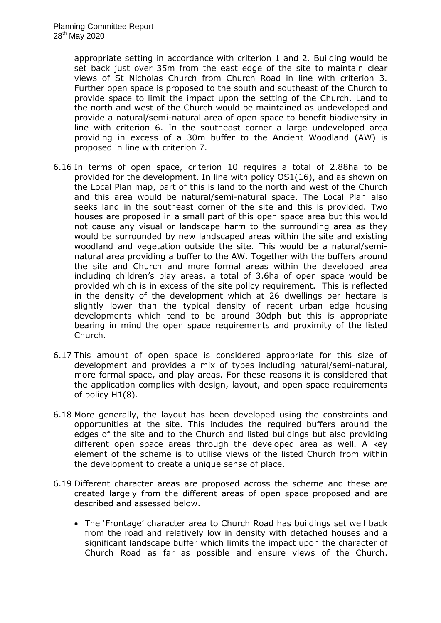appropriate setting in accordance with criterion 1 and 2. Building would be set back just over 35m from the east edge of the site to maintain clear views of St Nicholas Church from Church Road in line with criterion 3. Further open space is proposed to the south and southeast of the Church to provide space to limit the impact upon the setting of the Church. Land to the north and west of the Church would be maintained as undeveloped and provide a natural/semi-natural area of open space to benefit biodiversity in line with criterion 6. In the southeast corner a large undeveloped area providing in excess of a 30m buffer to the Ancient Woodland (AW) is proposed in line with criterion 7.

- 6.16 In terms of open space, criterion 10 requires a total of 2.88ha to be provided for the development. In line with policy OS1(16), and as shown on the Local Plan map, part of this is land to the north and west of the Church and this area would be natural/semi-natural space. The Local Plan also seeks land in the southeast corner of the site and this is provided. Two houses are proposed in a small part of this open space area but this would not cause any visual or landscape harm to the surrounding area as they would be surrounded by new landscaped areas within the site and existing woodland and vegetation outside the site. This would be a natural/seminatural area providing a buffer to the AW. Together with the buffers around the site and Church and more formal areas within the developed area including children's play areas, a total of 3.6ha of open space would be provided which is in excess of the site policy requirement. This is reflected in the density of the development which at 26 dwellings per hectare is slightly lower than the typical density of recent urban edge housing developments which tend to be around 30dph but this is appropriate bearing in mind the open space requirements and proximity of the listed Church.
- 6.17 This amount of open space is considered appropriate for this size of development and provides a mix of types including natural/semi-natural, more formal space, and play areas. For these reasons it is considered that the application complies with design, layout, and open space requirements of policy H1(8).
- 6.18 More generally, the layout has been developed using the constraints and opportunities at the site. This includes the required buffers around the edges of the site and to the Church and listed buildings but also providing different open space areas through the developed area as well. A key element of the scheme is to utilise views of the listed Church from within the development to create a unique sense of place.
- 6.19 Different character areas are proposed across the scheme and these are created largely from the different areas of open space proposed and are described and assessed below.
	- The 'Frontage' character area to Church Road has buildings set well back from the road and relatively low in density with detached houses and a significant landscape buffer which limits the impact upon the character of Church Road as far as possible and ensure views of the Church.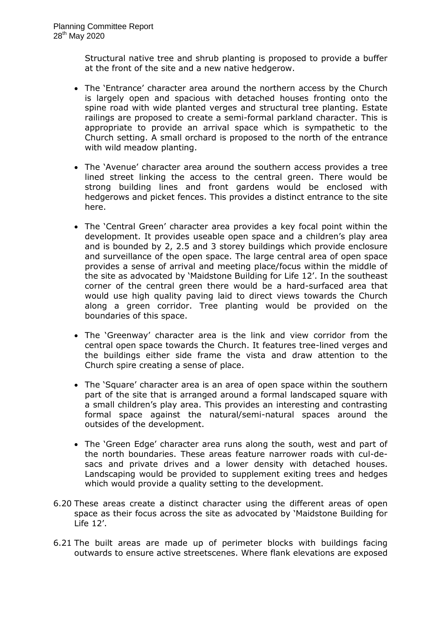Structural native tree and shrub planting is proposed to provide a buffer at the front of the site and a new native hedgerow.

- The 'Entrance' character area around the northern access by the Church is largely open and spacious with detached houses fronting onto the spine road with wide planted verges and structural tree planting. Estate railings are proposed to create a semi-formal parkland character. This is appropriate to provide an arrival space which is sympathetic to the Church setting. A small orchard is proposed to the north of the entrance with wild meadow planting.
- The 'Avenue' character area around the southern access provides a tree lined street linking the access to the central green. There would be strong building lines and front gardens would be enclosed with hedgerows and picket fences. This provides a distinct entrance to the site here.
- The 'Central Green' character area provides a key focal point within the development. It provides useable open space and a children's play area and is bounded by 2, 2.5 and 3 storey buildings which provide enclosure and surveillance of the open space. The large central area of open space provides a sense of arrival and meeting place/focus within the middle of the site as advocated by 'Maidstone Building for Life 12'. In the southeast corner of the central green there would be a hard-surfaced area that would use high quality paving laid to direct views towards the Church along a green corridor. Tree planting would be provided on the boundaries of this space.
- The 'Greenway' character area is the link and view corridor from the central open space towards the Church. It features tree-lined verges and the buildings either side frame the vista and draw attention to the Church spire creating a sense of place.
- The 'Square' character area is an area of open space within the southern part of the site that is arranged around a formal landscaped square with a small children's play area. This provides an interesting and contrasting formal space against the natural/semi-natural spaces around the outsides of the development.
- The 'Green Edge' character area runs along the south, west and part of the north boundaries. These areas feature narrower roads with cul-desacs and private drives and a lower density with detached houses. Landscaping would be provided to supplement exiting trees and hedges which would provide a quality setting to the development.
- 6.20 These areas create a distinct character using the different areas of open space as their focus across the site as advocated by 'Maidstone Building for Life 12'.
- 6.21 The built areas are made up of perimeter blocks with buildings facing outwards to ensure active streetscenes. Where flank elevations are exposed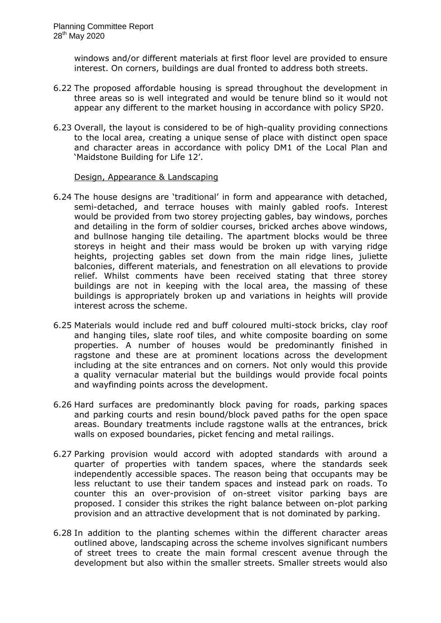windows and/or different materials at first floor level are provided to ensure interest. On corners, buildings are dual fronted to address both streets.

- 6.22 The proposed affordable housing is spread throughout the development in three areas so is well integrated and would be tenure blind so it would not appear any different to the market housing in accordance with policy SP20.
- 6.23 Overall, the layout is considered to be of high-quality providing connections to the local area, creating a unique sense of place with distinct open space and character areas in accordance with policy DM1 of the Local Plan and 'Maidstone Building for Life 12'.

### Design, Appearance & Landscaping

- 6.24 The house designs are 'traditional' in form and appearance with detached, semi-detached, and terrace houses with mainly gabled roofs. Interest would be provided from two storey projecting gables, bay windows, porches and detailing in the form of soldier courses, bricked arches above windows, and bullnose hanging tile detailing. The apartment blocks would be three storeys in height and their mass would be broken up with varying ridge heights, projecting gables set down from the main ridge lines, juliette balconies, different materials, and fenestration on all elevations to provide relief. Whilst comments have been received stating that three storey buildings are not in keeping with the local area, the massing of these buildings is appropriately broken up and variations in heights will provide interest across the scheme.
- 6.25 Materials would include red and buff coloured multi-stock bricks, clay roof and hanging tiles, slate roof tiles, and white composite boarding on some properties. A number of houses would be predominantly finished in ragstone and these are at prominent locations across the development including at the site entrances and on corners. Not only would this provide a quality vernacular material but the buildings would provide focal points and wayfinding points across the development.
- 6.26 Hard surfaces are predominantly block paving for roads, parking spaces and parking courts and resin bound/block paved paths for the open space areas. Boundary treatments include ragstone walls at the entrances, brick walls on exposed boundaries, picket fencing and metal railings.
- 6.27 Parking provision would accord with adopted standards with around a quarter of properties with tandem spaces, where the standards seek independently accessible spaces. The reason being that occupants may be less reluctant to use their tandem spaces and instead park on roads. To counter this an over-provision of on-street visitor parking bays are proposed. I consider this strikes the right balance between on-plot parking provision and an attractive development that is not dominated by parking.
- 6.28 In addition to the planting schemes within the different character areas outlined above, landscaping across the scheme involves significant numbers of street trees to create the main formal crescent avenue through the development but also within the smaller streets. Smaller streets would also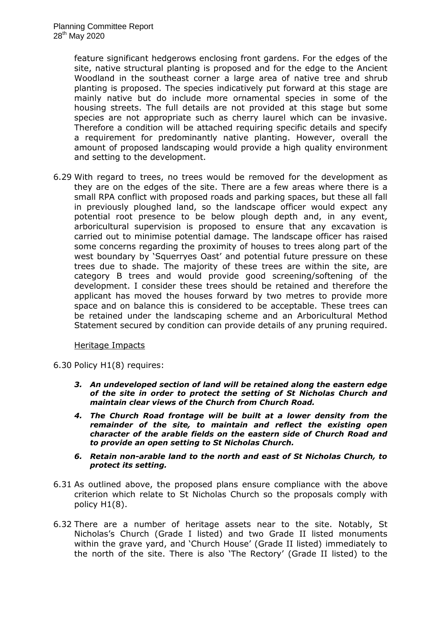feature significant hedgerows enclosing front gardens. For the edges of the site, native structural planting is proposed and for the edge to the Ancient Woodland in the southeast corner a large area of native tree and shrub planting is proposed. The species indicatively put forward at this stage are mainly native but do include more ornamental species in some of the housing streets. The full details are not provided at this stage but some species are not appropriate such as cherry laurel which can be invasive. Therefore a condition will be attached requiring specific details and specify a requirement for predominantly native planting. However, overall the amount of proposed landscaping would provide a high quality environment and setting to the development.

6.29 With regard to trees, no trees would be removed for the development as they are on the edges of the site. There are a few areas where there is a small RPA conflict with proposed roads and parking spaces, but these all fall in previously ploughed land, so the landscape officer would expect any potential root presence to be below plough depth and, in any event, arboricultural supervision is proposed to ensure that any excavation is carried out to minimise potential damage. The landscape officer has raised some concerns regarding the proximity of houses to trees along part of the west boundary by 'Squerryes Oast' and potential future pressure on these trees due to shade. The majority of these trees are within the site, are category B trees and would provide good screening/softening of the development. I consider these trees should be retained and therefore the applicant has moved the houses forward by two metres to provide more space and on balance this is considered to be acceptable. These trees can be retained under the landscaping scheme and an Arboricultural Method Statement secured by condition can provide details of any pruning required.

### Heritage Impacts

6.30 Policy H1(8) requires:

- *3. An undeveloped section of land will be retained along the eastern edge of the site in order to protect the setting of St Nicholas Church and maintain clear views of the Church from Church Road.*
- *4. The Church Road frontage will be built at a lower density from the remainder of the site, to maintain and reflect the existing open character of the arable fields on the eastern side of Church Road and to provide an open setting to St Nicholas Church.*
- *6. Retain non-arable land to the north and east of St Nicholas Church, to protect its setting.*
- 6.31 As outlined above, the proposed plans ensure compliance with the above criterion which relate to St Nicholas Church so the proposals comply with policy H1(8).
- 6.32 There are a number of heritage assets near to the site. Notably, St Nicholas's Church (Grade I listed) and two Grade II listed monuments within the grave yard, and 'Church House' (Grade II listed) immediately to the north of the site. There is also 'The Rectory' (Grade II listed) to the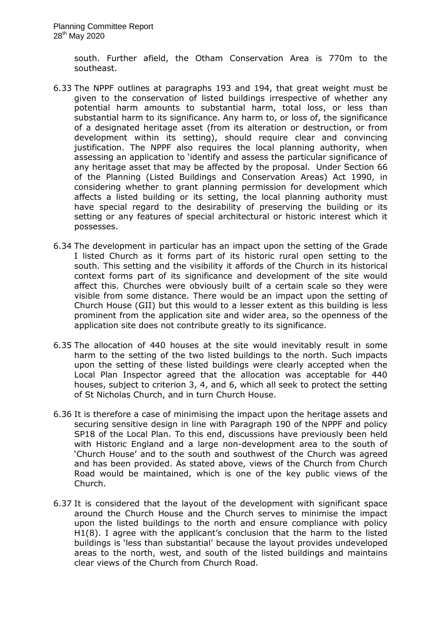south. Further afield, the Otham Conservation Area is 770m to the southeast.

- 6.33 The NPPF outlines at paragraphs 193 and 194, that great weight must be given to the conservation of listed buildings irrespective of whether any potential harm amounts to substantial harm, total loss, or less than substantial harm to its significance. Any harm to, or loss of, the significance of a designated heritage asset (from its alteration or destruction, or from development within its setting), should require clear and convincing justification. The NPPF also requires the local planning authority, when assessing an application to 'identify and assess the particular significance of any heritage asset that may be affected by the proposal. Under Section 66 of the Planning (Listed Buildings and Conservation Areas) Act 1990, in considering whether to grant planning permission for development which affects a listed building or its setting, the local planning authority must have special regard to the desirability of preserving the building or its setting or any features of special architectural or historic interest which it possesses.
- 6.34 The development in particular has an impact upon the setting of the Grade I listed Church as it forms part of its historic rural open setting to the south. This setting and the visibility it affords of the Church in its historical context forms part of its significance and development of the site would affect this. Churches were obviously built of a certain scale so they were visible from some distance. There would be an impact upon the setting of Church House (GII) but this would to a lesser extent as this building is less prominent from the application site and wider area, so the openness of the application site does not contribute greatly to its significance.
- 6.35 The allocation of 440 houses at the site would inevitably result in some harm to the setting of the two listed buildings to the north. Such impacts upon the setting of these listed buildings were clearly accepted when the Local Plan Inspector agreed that the allocation was acceptable for 440 houses, subject to criterion 3, 4, and 6, which all seek to protect the setting of St Nicholas Church, and in turn Church House.
- 6.36 It is therefore a case of minimising the impact upon the heritage assets and securing sensitive design in line with Paragraph 190 of the NPPF and policy SP18 of the Local Plan. To this end, discussions have previously been held with Historic England and a large non-development area to the south of 'Church House' and to the south and southwest of the Church was agreed and has been provided. As stated above, views of the Church from Church Road would be maintained, which is one of the key public views of the Church.
- 6.37 It is considered that the layout of the development with significant space around the Church House and the Church serves to minimise the impact upon the listed buildings to the north and ensure compliance with policy H1(8). I agree with the applicant's conclusion that the harm to the listed buildings is 'less than substantial' because the layout provides undeveloped areas to the north, west, and south of the listed buildings and maintains clear views of the Church from Church Road.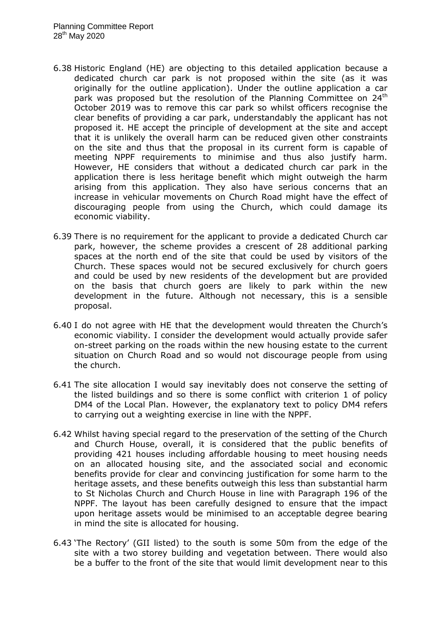- 6.38 Historic England (HE) are objecting to this detailed application because a dedicated church car park is not proposed within the site (as it was originally for the outline application). Under the outline application a car park was proposed but the resolution of the Planning Committee on 24<sup>th</sup> October 2019 was to remove this car park so whilst officers recognise the clear benefits of providing a car park, understandably the applicant has not proposed it. HE accept the principle of development at the site and accept that it is unlikely the overall harm can be reduced given other constraints on the site and thus that the proposal in its current form is capable of meeting NPPF requirements to minimise and thus also justify harm. However, HE considers that without a dedicated church car park in the application there is less heritage benefit which might outweigh the harm arising from this application. They also have serious concerns that an increase in vehicular movements on Church Road might have the effect of discouraging people from using the Church, which could damage its economic viability.
- 6.39 There is no requirement for the applicant to provide a dedicated Church car park, however, the scheme provides a crescent of 28 additional parking spaces at the north end of the site that could be used by visitors of the Church. These spaces would not be secured exclusively for church goers and could be used by new residents of the development but are provided on the basis that church goers are likely to park within the new development in the future. Although not necessary, this is a sensible proposal.
- 6.40 I do not agree with HE that the development would threaten the Church's economic viability. I consider the development would actually provide safer on-street parking on the roads within the new housing estate to the current situation on Church Road and so would not discourage people from using the church.
- 6.41 The site allocation I would say inevitably does not conserve the setting of the listed buildings and so there is some conflict with criterion 1 of policy DM4 of the Local Plan. However, the explanatory text to policy DM4 refers to carrying out a weighting exercise in line with the NPPF.
- 6.42 Whilst having special regard to the preservation of the setting of the Church and Church House, overall, it is considered that the public benefits of providing 421 houses including affordable housing to meet housing needs on an allocated housing site, and the associated social and economic benefits provide for clear and convincing justification for some harm to the heritage assets, and these benefits outweigh this less than substantial harm to St Nicholas Church and Church House in line with Paragraph 196 of the NPPF. The layout has been carefully designed to ensure that the impact upon heritage assets would be minimised to an acceptable degree bearing in mind the site is allocated for housing.
- 6.43 'The Rectory' (GII listed) to the south is some 50m from the edge of the site with a two storey building and vegetation between. There would also be a buffer to the front of the site that would limit development near to this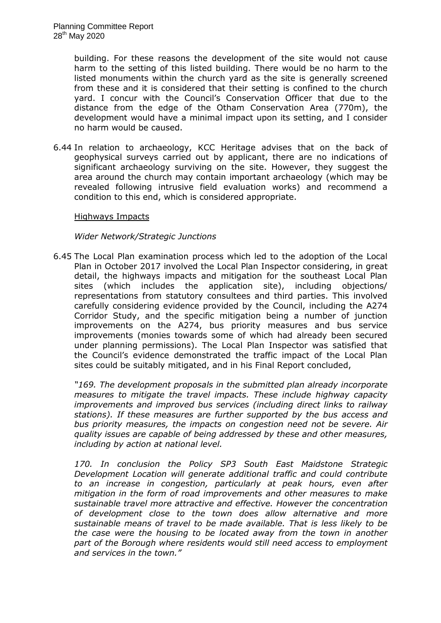building. For these reasons the development of the site would not cause harm to the setting of this listed building. There would be no harm to the listed monuments within the church yard as the site is generally screened from these and it is considered that their setting is confined to the church yard. I concur with the Council's Conservation Officer that due to the distance from the edge of the Otham Conservation Area (770m), the development would have a minimal impact upon its setting, and I consider no harm would be caused.

6.44 In relation to archaeology, KCC Heritage advises that on the back of geophysical surveys carried out by applicant, there are no indications of significant archaeology surviving on the site. However, they suggest the area around the church may contain important archaeology (which may be revealed following intrusive field evaluation works) and recommend a condition to this end, which is considered appropriate.

### Highways Impacts

### *Wider Network/Strategic Junctions*

6.45 The Local Plan examination process which led to the adoption of the Local Plan in October 2017 involved the Local Plan Inspector considering, in great detail, the highways impacts and mitigation for the southeast Local Plan sites (which includes the application site), including objections/ representations from statutory consultees and third parties. This involved carefully considering evidence provided by the Council, including the A274 Corridor Study, and the specific mitigation being a number of junction improvements on the A274, bus priority measures and bus service improvements (monies towards some of which had already been secured under planning permissions). The Local Plan Inspector was satisfied that the Council's evidence demonstrated the traffic impact of the Local Plan sites could be suitably mitigated, and in his Final Report concluded,

*"169. The development proposals in the submitted plan already incorporate measures to mitigate the travel impacts. These include highway capacity improvements and improved bus services (including direct links to railway stations). If these measures are further supported by the bus access and bus priority measures, the impacts on congestion need not be severe. Air quality issues are capable of being addressed by these and other measures, including by action at national level.*

*170. In conclusion the Policy SP3 South East Maidstone Strategic Development Location will generate additional traffic and could contribute to an increase in congestion, particularly at peak hours, even after mitigation in the form of road improvements and other measures to make sustainable travel more attractive and effective. However the concentration of development close to the town does allow alternative and more sustainable means of travel to be made available. That is less likely to be the case were the housing to be located away from the town in another part of the Borough where residents would still need access to employment and services in the town."*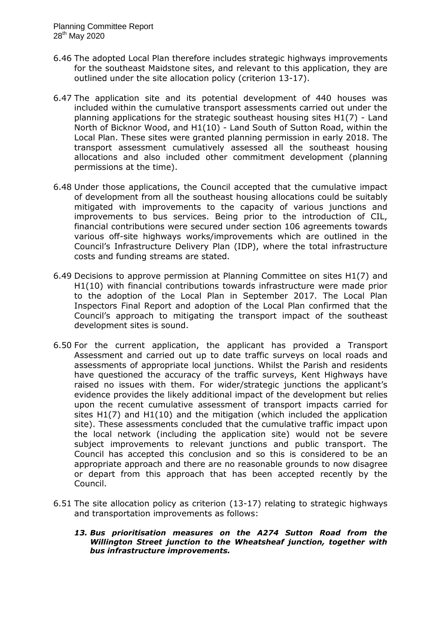- 6.46 The adopted Local Plan therefore includes strategic highways improvements for the southeast Maidstone sites, and relevant to this application, they are outlined under the site allocation policy (criterion 13-17).
- 6.47 The application site and its potential development of 440 houses was included within the cumulative transport assessments carried out under the planning applications for the strategic southeast housing sites H1(7) - Land North of Bicknor Wood, and H1(10) - Land South of Sutton Road, within the Local Plan. These sites were granted planning permission in early 2018. The transport assessment cumulatively assessed all the southeast housing allocations and also included other commitment development (planning permissions at the time).
- 6.48 Under those applications, the Council accepted that the cumulative impact of development from all the southeast housing allocations could be suitably mitigated with improvements to the capacity of various junctions and improvements to bus services. Being prior to the introduction of CIL, financial contributions were secured under section 106 agreements towards various off-site highways works/improvements which are outlined in the Council's Infrastructure Delivery Plan (IDP), where the total infrastructure costs and funding streams are stated.
- 6.49 Decisions to approve permission at Planning Committee on sites H1(7) and H1(10) with financial contributions towards infrastructure were made prior to the adoption of the Local Plan in September 2017. The Local Plan Inspectors Final Report and adoption of the Local Plan confirmed that the Council's approach to mitigating the transport impact of the southeast development sites is sound.
- 6.50 For the current application, the applicant has provided a Transport Assessment and carried out up to date traffic surveys on local roads and assessments of appropriate local junctions. Whilst the Parish and residents have questioned the accuracy of the traffic surveys, Kent Highways have raised no issues with them. For wider/strategic junctions the applicant's evidence provides the likely additional impact of the development but relies upon the recent cumulative assessment of transport impacts carried for sites H1(7) and H1(10) and the mitigation (which included the application site). These assessments concluded that the cumulative traffic impact upon the local network (including the application site) would not be severe subject improvements to relevant junctions and public transport. The Council has accepted this conclusion and so this is considered to be an appropriate approach and there are no reasonable grounds to now disagree or depart from this approach that has been accepted recently by the Council.
- 6.51 The site allocation policy as criterion (13-17) relating to strategic highways and transportation improvements as follows:
	- *13. Bus prioritisation measures on the A274 Sutton Road from the Willington Street junction to the Wheatsheaf junction, together with bus infrastructure improvements.*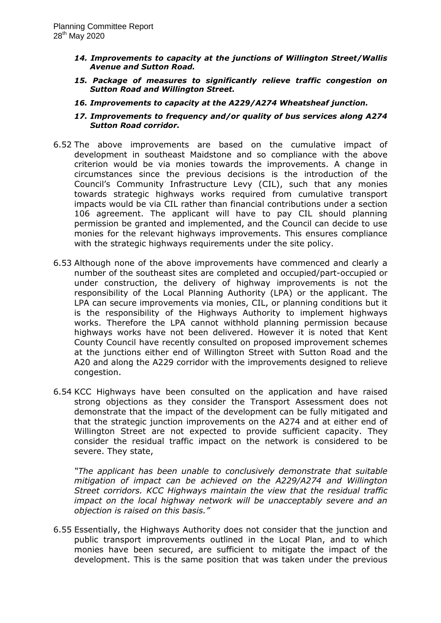- *14. Improvements to capacity at the junctions of Willington Street/Wallis Avenue and Sutton Road.*
- *15. Package of measures to significantly relieve traffic congestion on Sutton Road and Willington Street.*
- *16. Improvements to capacity at the A229/A274 Wheatsheaf junction.*
- *17. Improvements to frequency and/or quality of bus services along A274 Sutton Road corridor.*
- 6.52 The above improvements are based on the cumulative impact of development in southeast Maidstone and so compliance with the above criterion would be via monies towards the improvements. A change in circumstances since the previous decisions is the introduction of the Council's Community Infrastructure Levy (CIL), such that any monies towards strategic highways works required from cumulative transport impacts would be via CIL rather than financial contributions under a section 106 agreement. The applicant will have to pay CIL should planning permission be granted and implemented, and the Council can decide to use monies for the relevant highways improvements. This ensures compliance with the strategic highways requirements under the site policy.
- 6.53 Although none of the above improvements have commenced and clearly a number of the southeast sites are completed and occupied/part-occupied or under construction, the delivery of highway improvements is not the responsibility of the Local Planning Authority (LPA) or the applicant. The LPA can secure improvements via monies, CIL, or planning conditions but it is the responsibility of the Highways Authority to implement highways works. Therefore the LPA cannot withhold planning permission because highways works have not been delivered. However it is noted that Kent County Council have recently consulted on proposed improvement schemes at the junctions either end of Willington Street with Sutton Road and the A20 and along the A229 corridor with the improvements designed to relieve congestion.
- 6.54 KCC Highways have been consulted on the application and have raised strong objections as they consider the Transport Assessment does not demonstrate that the impact of the development can be fully mitigated and that the strategic junction improvements on the A274 and at either end of Willington Street are not expected to provide sufficient capacity. They consider the residual traffic impact on the network is considered to be severe. They state,

*"The applicant has been unable to conclusively demonstrate that suitable mitigation of impact can be achieved on the A229/A274 and Willington Street corridors. KCC Highways maintain the view that the residual traffic impact on the local highway network will be unacceptably severe and an objection is raised on this basis."*

6.55 Essentially, the Highways Authority does not consider that the junction and public transport improvements outlined in the Local Plan, and to which monies have been secured, are sufficient to mitigate the impact of the development. This is the same position that was taken under the previous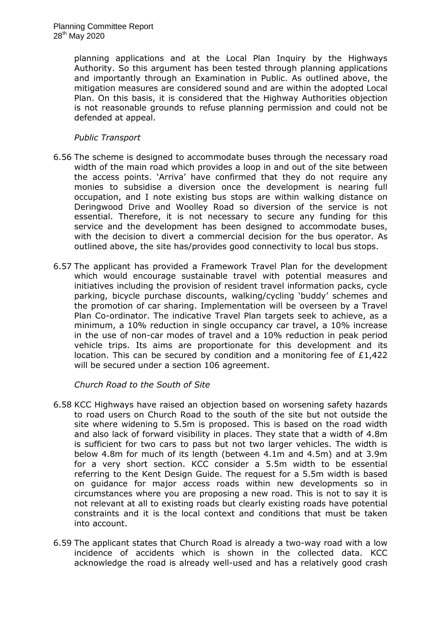planning applications and at the Local Plan Inquiry by the Highways Authority. So this argument has been tested through planning applications and importantly through an Examination in Public. As outlined above, the mitigation measures are considered sound and are within the adopted Local Plan. On this basis, it is considered that the Highway Authorities objection is not reasonable grounds to refuse planning permission and could not be defended at appeal.

### *Public Transport*

- 6.56 The scheme is designed to accommodate buses through the necessary road width of the main road which provides a loop in and out of the site between the access points. 'Arriva' have confirmed that they do not require any monies to subsidise a diversion once the development is nearing full occupation, and I note existing bus stops are within walking distance on Deringwood Drive and Woolley Road so diversion of the service is not essential. Therefore, it is not necessary to secure any funding for this service and the development has been designed to accommodate buses, with the decision to divert a commercial decision for the bus operator. As outlined above, the site has/provides good connectivity to local bus stops.
- 6.57 The applicant has provided a Framework Travel Plan for the development which would encourage sustainable travel with potential measures and initiatives including the provision of resident travel information packs, cycle parking, bicycle purchase discounts, walking/cycling 'buddy' schemes and the promotion of car sharing. Implementation will be overseen by a Travel Plan Co-ordinator. The indicative Travel Plan targets seek to achieve, as a minimum, a 10% reduction in single occupancy car travel, a 10% increase in the use of non-car modes of travel and a 10% reduction in peak period vehicle trips. Its aims are proportionate for this development and its location. This can be secured by condition and a monitoring fee of  $£1,422$ will be secured under a section 106 agreement.

*Church Road to the South of Site*

- 6.58 KCC Highways have raised an objection based on worsening safety hazards to road users on Church Road to the south of the site but not outside the site where widening to 5.5m is proposed. This is based on the road width and also lack of forward visibility in places. They state that a width of 4.8m is sufficient for two cars to pass but not two larger vehicles. The width is below 4.8m for much of its length (between 4.1m and 4.5m) and at 3.9m for a very short section. KCC consider a 5.5m width to be essential referring to the Kent Design Guide. The request for a 5.5m width is based on guidance for major access roads within new developments so in circumstances where you are proposing a new road. This is not to say it is not relevant at all to existing roads but clearly existing roads have potential constraints and it is the local context and conditions that must be taken into account.
- 6.59 The applicant states that Church Road is already a two-way road with a low incidence of accidents which is shown in the collected data. KCC acknowledge the road is already well-used and has a relatively good crash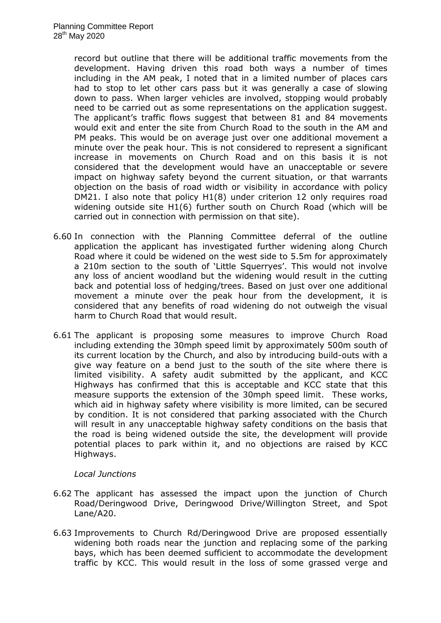record but outline that there will be additional traffic movements from the development. Having driven this road both ways a number of times including in the AM peak, I noted that in a limited number of places cars had to stop to let other cars pass but it was generally a case of slowing down to pass. When larger vehicles are involved, stopping would probably need to be carried out as some representations on the application suggest. The applicant's traffic flows suggest that between 81 and 84 movements would exit and enter the site from Church Road to the south in the AM and PM peaks. This would be on average just over one additional movement a minute over the peak hour. This is not considered to represent a significant increase in movements on Church Road and on this basis it is not considered that the development would have an unacceptable or severe impact on highway safety beyond the current situation, or that warrants objection on the basis of road width or visibility in accordance with policy DM21. I also note that policy H1(8) under criterion 12 only requires road widening outside site H1(6) further south on Church Road (which will be carried out in connection with permission on that site).

- 6.60 In connection with the Planning Committee deferral of the outline application the applicant has investigated further widening along Church Road where it could be widened on the west side to 5.5m for approximately a 210m section to the south of 'Little Squerryes'. This would not involve any loss of ancient woodland but the widening would result in the cutting back and potential loss of hedging/trees. Based on just over one additional movement a minute over the peak hour from the development, it is considered that any benefits of road widening do not outweigh the visual harm to Church Road that would result.
- 6.61 The applicant is proposing some measures to improve Church Road including extending the 30mph speed limit by approximately 500m south of its current location by the Church, and also by introducing build-outs with a give way feature on a bend just to the south of the site where there is limited visibility. A safety audit submitted by the applicant, and KCC Highways has confirmed that this is acceptable and KCC state that this measure supports the extension of the 30mph speed limit. These works, which aid in highway safety where visibility is more limited, can be secured by condition. It is not considered that parking associated with the Church will result in any unacceptable highway safety conditions on the basis that the road is being widened outside the site, the development will provide potential places to park within it, and no objections are raised by KCC Highways.

## *Local Junctions*

- 6.62 The applicant has assessed the impact upon the junction of Church Road/Deringwood Drive, Deringwood Drive/Willington Street, and Spot Lane/A20.
- 6.63 Improvements to Church Rd/Deringwood Drive are proposed essentially widening both roads near the junction and replacing some of the parking bays, which has been deemed sufficient to accommodate the development traffic by KCC. This would result in the loss of some grassed verge and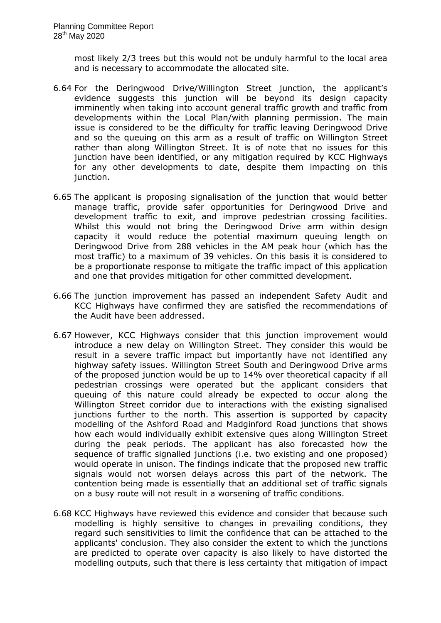most likely 2/3 trees but this would not be unduly harmful to the local area and is necessary to accommodate the allocated site.

- 6.64 For the Deringwood Drive/Willington Street junction, the applicant's evidence suggests this junction will be beyond its design capacity imminently when taking into account general traffic growth and traffic from developments within the Local Plan/with planning permission. The main issue is considered to be the difficulty for traffic leaving Deringwood Drive and so the queuing on this arm as a result of traffic on Willington Street rather than along Willington Street. It is of note that no issues for this junction have been identified, or any mitigation required by KCC Highways for any other developments to date, despite them impacting on this junction.
- 6.65 The applicant is proposing signalisation of the junction that would better manage traffic, provide safer opportunities for Deringwood Drive and development traffic to exit, and improve pedestrian crossing facilities. Whilst this would not bring the Deringwood Drive arm within design capacity it would reduce the potential maximum queuing length on Deringwood Drive from 288 vehicles in the AM peak hour (which has the most traffic) to a maximum of 39 vehicles. On this basis it is considered to be a proportionate response to mitigate the traffic impact of this application and one that provides mitigation for other committed development.
- 6.66 The junction improvement has passed an independent Safety Audit and KCC Highways have confirmed they are satisfied the recommendations of the Audit have been addressed.
- 6.67 However, KCC Highways consider that this junction improvement would introduce a new delay on Willington Street. They consider this would be result in a severe traffic impact but importantly have not identified any highway safety issues. Willington Street South and Deringwood Drive arms of the proposed junction would be up to 14% over theoretical capacity if all pedestrian crossings were operated but the applicant considers that queuing of this nature could already be expected to occur along the Willington Street corridor due to interactions with the existing signalised junctions further to the north. This assertion is supported by capacity modelling of the Ashford Road and Madginford Road junctions that shows how each would individually exhibit extensive ques along Willington Street during the peak periods. The applicant has also forecasted how the sequence of traffic signalled junctions (i.e. two existing and one proposed) would operate in unison. The findings indicate that the proposed new traffic signals would not worsen delays across this part of the network. The contention being made is essentially that an additional set of traffic signals on a busy route will not result in a worsening of traffic conditions.
- 6.68 KCC Highways have reviewed this evidence and consider that because such modelling is highly sensitive to changes in prevailing conditions, they regard such sensitivities to limit the confidence that can be attached to the applicants' conclusion. They also consider the extent to which the junctions are predicted to operate over capacity is also likely to have distorted the modelling outputs, such that there is less certainty that mitigation of impact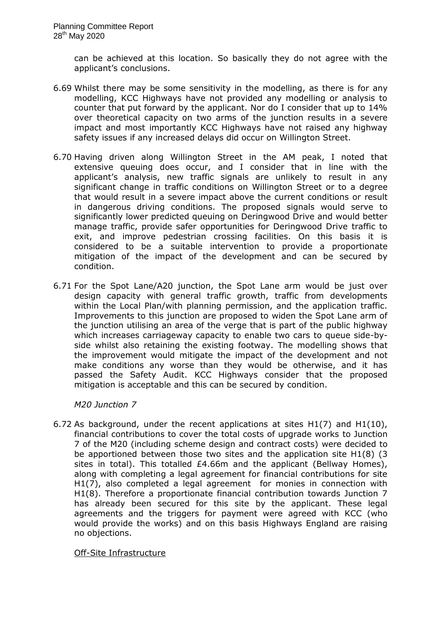can be achieved at this location. So basically they do not agree with the applicant's conclusions.

- 6.69 Whilst there may be some sensitivity in the modelling, as there is for any modelling, KCC Highways have not provided any modelling or analysis to counter that put forward by the applicant. Nor do I consider that up to 14% over theoretical capacity on two arms of the junction results in a severe impact and most importantly KCC Highways have not raised any highway safety issues if any increased delays did occur on Willington Street.
- 6.70 Having driven along Willington Street in the AM peak, I noted that extensive queuing does occur, and I consider that in line with the applicant's analysis, new traffic signals are unlikely to result in any significant change in traffic conditions on Willington Street or to a degree that would result in a severe impact above the current conditions or result in dangerous driving conditions. The proposed signals would serve to significantly lower predicted queuing on Deringwood Drive and would better manage traffic, provide safer opportunities for Deringwood Drive traffic to exit, and improve pedestrian crossing facilities. On this basis it is considered to be a suitable intervention to provide a proportionate mitigation of the impact of the development and can be secured by condition.
- 6.71 For the Spot Lane/A20 junction, the Spot Lane arm would be just over design capacity with general traffic growth, traffic from developments within the Local Plan/with planning permission, and the application traffic. Improvements to this junction are proposed to widen the Spot Lane arm of the junction utilising an area of the verge that is part of the public highway which increases carriageway capacity to enable two cars to queue side-byside whilst also retaining the existing footway. The modelling shows that the improvement would mitigate the impact of the development and not make conditions any worse than they would be otherwise, and it has passed the Safety Audit. KCC Highways consider that the proposed mitigation is acceptable and this can be secured by condition.

## *M20 Junction 7*

6.72 As background, under the recent applications at sites H1(7) and H1(10), financial contributions to cover the total costs of upgrade works to Junction 7 of the M20 (including scheme design and contract costs) were decided to be apportioned between those two sites and the application site H1(8) (3 sites in total). This totalled £4.66m and the applicant (Bellway Homes), along with completing a legal agreement for financial contributions for site H1(7), also completed a legal agreement for monies in connection with H1(8). Therefore a proportionate financial contribution towards Junction 7 has already been secured for this site by the applicant. These legal agreements and the triggers for payment were agreed with KCC (who would provide the works) and on this basis Highways England are raising no objections.

Off-Site Infrastructure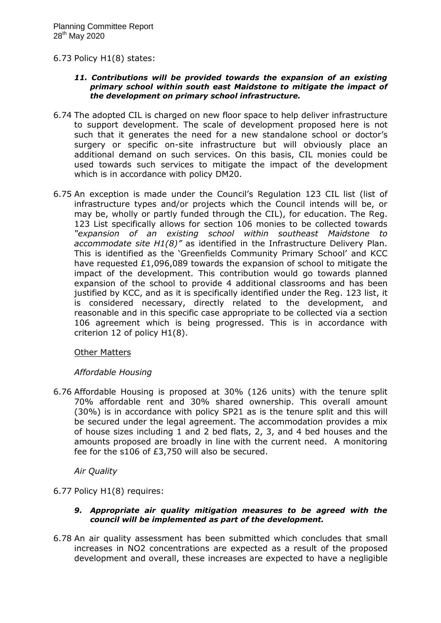### 6.73 Policy H1(8) states:

#### *11. Contributions will be provided towards the expansion of an existing primary school within south east Maidstone to mitigate the impact of the development on primary school infrastructure.*

- 6.74 The adopted CIL is charged on new floor space to help deliver infrastructure to support development. The scale of development proposed here is not such that it generates the need for a new standalone school or doctor's surgery or specific on-site infrastructure but will obviously place an additional demand on such services. On this basis, CIL monies could be used towards such services to mitigate the impact of the development which is in accordance with policy DM20.
- 6.75 An exception is made under the Council's Regulation 123 CIL list (list of infrastructure types and/or projects which the Council intends will be, or may be, wholly or partly funded through the CIL), for education. The Reg. 123 List specifically allows for section 106 monies to be collected towards *"expansion of an existing school within southeast Maidstone to accommodate site H1(8)"* as identified in the Infrastructure Delivery Plan. This is identified as the 'Greenfields Community Primary School' and KCC have requested £1,096,089 towards the expansion of school to mitigate the impact of the development. This contribution would go towards planned expansion of the school to provide 4 additional classrooms and has been justified by KCC, and as it is specifically identified under the Reg. 123 list, it is considered necessary, directly related to the development, and reasonable and in this specific case appropriate to be collected via a section 106 agreement which is being progressed. This is in accordance with criterion 12 of policy H1(8).

### Other Matters

## *Affordable Housing*

6.76 Affordable Housing is proposed at 30% (126 units) with the tenure split 70% affordable rent and 30% shared ownership. This overall amount (30%) is in accordance with policy SP21 as is the tenure split and this will be secured under the legal agreement. The accommodation provides a mix of house sizes including 1 and 2 bed flats, 2, 3, and 4 bed houses and the amounts proposed are broadly in line with the current need. A monitoring fee for the s106 of £3,750 will also be secured.

## *Air Quality*

- 6.77 Policy H1(8) requires:
	- *9. Appropriate air quality mitigation measures to be agreed with the council will be implemented as part of the development.*
- 6.78 An air quality assessment has been submitted which concludes that small increases in NO2 concentrations are expected as a result of the proposed development and overall, these increases are expected to have a negligible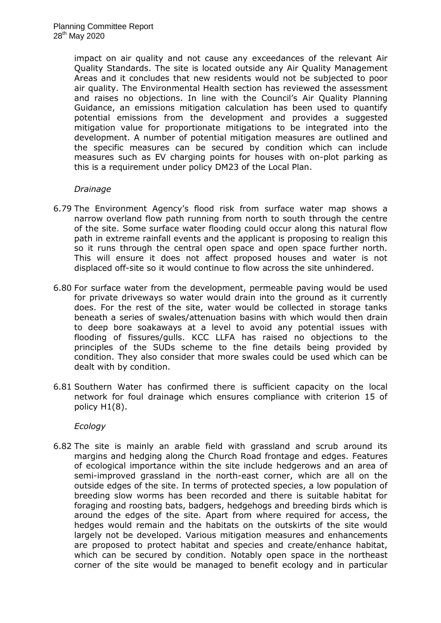impact on air quality and not cause any exceedances of the relevant Air Quality Standards. The site is located outside any Air Quality Management Areas and it concludes that new residents would not be subjected to poor air quality. The Environmental Health section has reviewed the assessment and raises no objections. In line with the Council's Air Quality Planning Guidance, an emissions mitigation calculation has been used to quantify potential emissions from the development and provides a suggested mitigation value for proportionate mitigations to be integrated into the development. A number of potential mitigation measures are outlined and the specific measures can be secured by condition which can include measures such as EV charging points for houses with on-plot parking as this is a requirement under policy DM23 of the Local Plan.

### *Drainage*

- 6.79 The Environment Agency's flood risk from surface water map shows a narrow overland flow path running from north to south through the centre of the site. Some surface water flooding could occur along this natural flow path in extreme rainfall events and the applicant is proposing to realign this so it runs through the central open space and open space further north. This will ensure it does not affect proposed houses and water is not displaced off-site so it would continue to flow across the site unhindered.
- 6.80 For surface water from the development, permeable paving would be used for private driveways so water would drain into the ground as it currently does. For the rest of the site, water would be collected in storage tanks beneath a series of swales/attenuation basins with which would then drain to deep bore soakaways at a level to avoid any potential issues with flooding of fissures/gulls. KCC LLFA has raised no objections to the principles of the SUDs scheme to the fine details being provided by condition. They also consider that more swales could be used which can be dealt with by condition.
- 6.81 Southern Water has confirmed there is sufficient capacity on the local network for foul drainage which ensures compliance with criterion 15 of policy H1(8).

## *Ecology*

6.82 The site is mainly an arable field with grassland and scrub around its margins and hedging along the Church Road frontage and edges. Features of ecological importance within the site include hedgerows and an area of semi-improved grassland in the north-east corner, which are all on the outside edges of the site. In terms of protected species, a low population of breeding slow worms has been recorded and there is suitable habitat for foraging and roosting bats, badgers, hedgehogs and breeding birds which is around the edges of the site. Apart from where required for access, the hedges would remain and the habitats on the outskirts of the site would largely not be developed. Various mitigation measures and enhancements are proposed to protect habitat and species and create/enhance habitat, which can be secured by condition. Notably open space in the northeast corner of the site would be managed to benefit ecology and in particular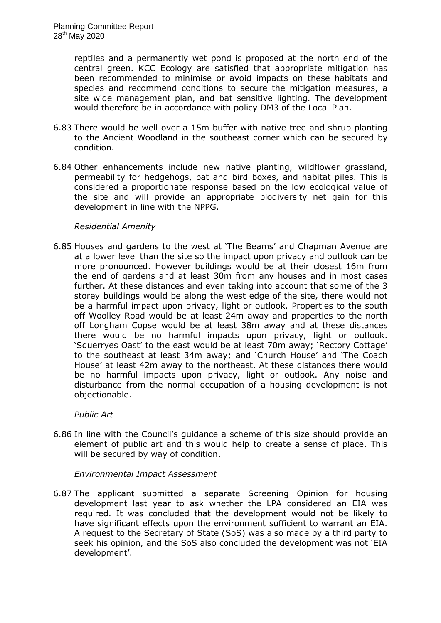reptiles and a permanently wet pond is proposed at the north end of the central green. KCC Ecology are satisfied that appropriate mitigation has been recommended to minimise or avoid impacts on these habitats and species and recommend conditions to secure the mitigation measures, a site wide management plan, and bat sensitive lighting. The development would therefore be in accordance with policy DM3 of the Local Plan.

- 6.83 There would be well over a 15m buffer with native tree and shrub planting to the Ancient Woodland in the southeast corner which can be secured by condition.
- 6.84 Other enhancements include new native planting, wildflower grassland, permeability for hedgehogs, bat and bird boxes, and habitat piles. This is considered a proportionate response based on the low ecological value of the site and will provide an appropriate biodiversity net gain for this development in line with the NPPG.

### *Residential Amenity*

6.85 Houses and gardens to the west at 'The Beams' and Chapman Avenue are at a lower level than the site so the impact upon privacy and outlook can be more pronounced. However buildings would be at their closest 16m from the end of gardens and at least 30m from any houses and in most cases further. At these distances and even taking into account that some of the 3 storey buildings would be along the west edge of the site, there would not be a harmful impact upon privacy, light or outlook. Properties to the south off Woolley Road would be at least 24m away and properties to the north off Longham Copse would be at least 38m away and at these distances there would be no harmful impacts upon privacy, light or outlook. 'Squerryes Oast' to the east would be at least 70m away; 'Rectory Cottage' to the southeast at least 34m away; and 'Church House' and 'The Coach House' at least 42m away to the northeast. At these distances there would be no harmful impacts upon privacy, light or outlook. Any noise and disturbance from the normal occupation of a housing development is not objectionable.

## *Public Art*

6.86 In line with the Council's guidance a scheme of this size should provide an element of public art and this would help to create a sense of place. This will be secured by way of condition.

### *Environmental Impact Assessment*

6.87 The applicant submitted a separate Screening Opinion for housing development last year to ask whether the LPA considered an EIA was required. It was concluded that the development would not be likely to have significant effects upon the environment sufficient to warrant an EIA. A request to the Secretary of State (SoS) was also made by a third party to seek his opinion, and the SoS also concluded the development was not 'EIA development'.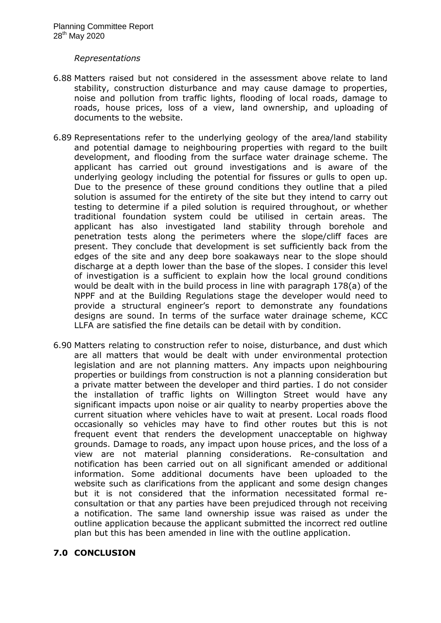#### *Representations*

- 6.88 Matters raised but not considered in the assessment above relate to land stability, construction disturbance and may cause damage to properties, noise and pollution from traffic lights, flooding of local roads, damage to roads, house prices, loss of a view, land ownership, and uploading of documents to the website.
- 6.89 Representations refer to the underlying geology of the area/land stability and potential damage to neighbouring properties with regard to the built development, and flooding from the surface water drainage scheme. The applicant has carried out ground investigations and is aware of the underlying geology including the potential for fissures or gulls to open up. Due to the presence of these ground conditions they outline that a piled solution is assumed for the entirety of the site but they intend to carry out testing to determine if a piled solution is required throughout, or whether traditional foundation system could be utilised in certain areas. The applicant has also investigated land stability through borehole and penetration tests along the perimeters where the slope/cliff faces are present. They conclude that development is set sufficiently back from the edges of the site and any deep bore soakaways near to the slope should discharge at a depth lower than the base of the slopes. I consider this level of investigation is a sufficient to explain how the local ground conditions would be dealt with in the build process in line with paragraph 178(a) of the NPPF and at the Building Regulations stage the developer would need to provide a structural engineer's report to demonstrate any foundations designs are sound. In terms of the surface water drainage scheme, KCC LLFA are satisfied the fine details can be detail with by condition.
- 6.90 Matters relating to construction refer to noise, disturbance, and dust which are all matters that would be dealt with under environmental protection legislation and are not planning matters. Any impacts upon neighbouring properties or buildings from construction is not a planning consideration but a private matter between the developer and third parties. I do not consider the installation of traffic lights on Willington Street would have any significant impacts upon noise or air quality to nearby properties above the current situation where vehicles have to wait at present. Local roads flood occasionally so vehicles may have to find other routes but this is not frequent event that renders the development unacceptable on highway grounds. Damage to roads, any impact upon house prices, and the loss of a view are not material planning considerations. Re-consultation and notification has been carried out on all significant amended or additional information. Some additional documents have been uploaded to the website such as clarifications from the applicant and some design changes but it is not considered that the information necessitated formal reconsultation or that any parties have been prejudiced through not receiving a notification. The same land ownership issue was raised as under the outline application because the applicant submitted the incorrect red outline plan but this has been amended in line with the outline application.

### **7.0 CONCLUSION**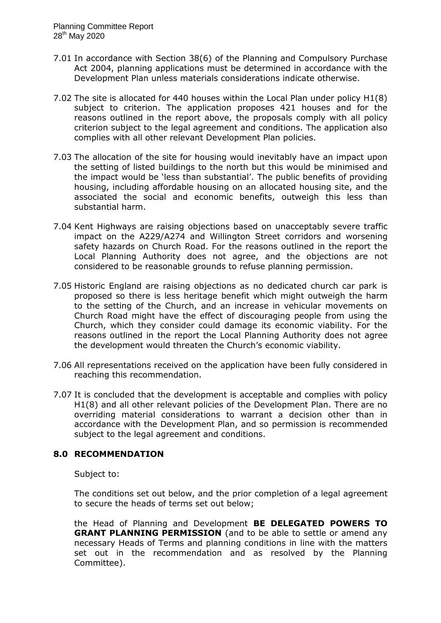- 7.01 In accordance with Section 38(6) of the Planning and Compulsory Purchase Act 2004, planning applications must be determined in accordance with the Development Plan unless materials considerations indicate otherwise.
- 7.02 The site is allocated for 440 houses within the Local Plan under policy H1(8) subject to criterion. The application proposes 421 houses and for the reasons outlined in the report above, the proposals comply with all policy criterion subject to the legal agreement and conditions. The application also complies with all other relevant Development Plan policies.
- 7.03 The allocation of the site for housing would inevitably have an impact upon the setting of listed buildings to the north but this would be minimised and the impact would be 'less than substantial'. The public benefits of providing housing, including affordable housing on an allocated housing site, and the associated the social and economic benefits, outweigh this less than substantial harm.
- 7.04 Kent Highways are raising objections based on unacceptably severe traffic impact on the A229/A274 and Willington Street corridors and worsening safety hazards on Church Road. For the reasons outlined in the report the Local Planning Authority does not agree, and the objections are not considered to be reasonable grounds to refuse planning permission.
- 7.05 Historic England are raising objections as no dedicated church car park is proposed so there is less heritage benefit which might outweigh the harm to the setting of the Church, and an increase in vehicular movements on Church Road might have the effect of discouraging people from using the Church, which they consider could damage its economic viability. For the reasons outlined in the report the Local Planning Authority does not agree the development would threaten the Church's economic viability.
- 7.06 All representations received on the application have been fully considered in reaching this recommendation.
- 7.07 It is concluded that the development is acceptable and complies with policy H1(8) and all other relevant policies of the Development Plan. There are no overriding material considerations to warrant a decision other than in accordance with the Development Plan, and so permission is recommended subject to the legal agreement and conditions.

## **8.0 RECOMMENDATION**

Subject to:

The conditions set out below, and the prior completion of a legal agreement to secure the heads of terms set out below;

the Head of Planning and Development **BE DELEGATED POWERS TO GRANT PLANNING PERMISSION** (and to be able to settle or amend any necessary Heads of Terms and planning conditions in line with the matters set out in the recommendation and as resolved by the Planning Committee).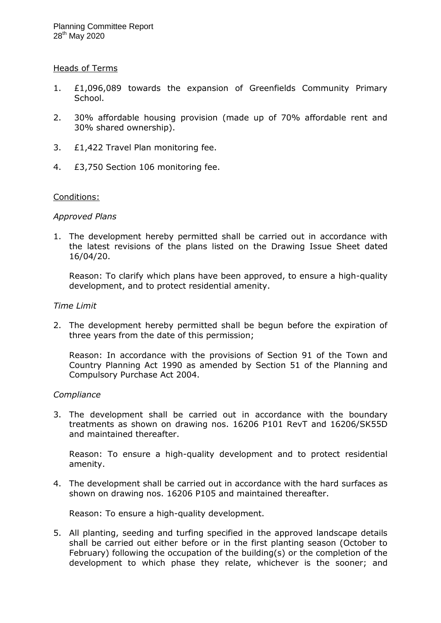### Heads of Terms

- 1. £1,096,089 towards the expansion of Greenfields Community Primary School.
- 2. 30% affordable housing provision (made up of 70% affordable rent and 30% shared ownership).
- 3. £1,422 Travel Plan monitoring fee.
- 4. £3,750 Section 106 monitoring fee.

### Conditions:

### *Approved Plans*

1. The development hereby permitted shall be carried out in accordance with the latest revisions of the plans listed on the Drawing Issue Sheet dated 16/04/20.

Reason: To clarify which plans have been approved, to ensure a high-quality development, and to protect residential amenity.

#### *Time Limit*

2. The development hereby permitted shall be begun before the expiration of three years from the date of this permission;

Reason: In accordance with the provisions of Section 91 of the Town and Country Planning Act 1990 as amended by Section 51 of the Planning and Compulsory Purchase Act 2004.

### *Compliance*

3. The development shall be carried out in accordance with the boundary treatments as shown on drawing nos. 16206 P101 RevT and 16206/SK55D and maintained thereafter.

Reason: To ensure a high-quality development and to protect residential amenity.

4. The development shall be carried out in accordance with the hard surfaces as shown on drawing nos. 16206 P105 and maintained thereafter.

Reason: To ensure a high-quality development.

5. All planting, seeding and turfing specified in the approved landscape details shall be carried out either before or in the first planting season (October to February) following the occupation of the building(s) or the completion of the development to which phase they relate, whichever is the sooner; and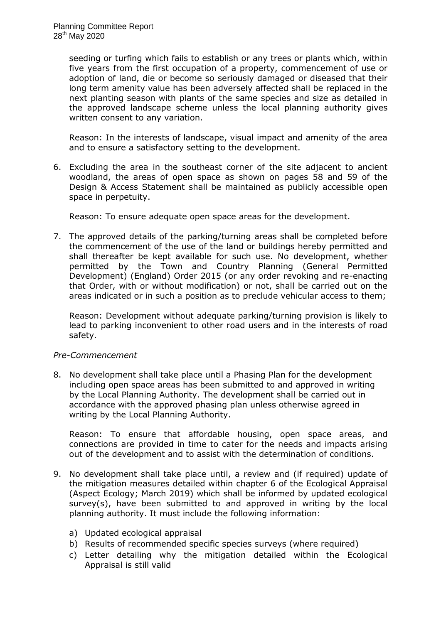seeding or turfing which fails to establish or any trees or plants which, within five years from the first occupation of a property, commencement of use or adoption of land, die or become so seriously damaged or diseased that their long term amenity value has been adversely affected shall be replaced in the next planting season with plants of the same species and size as detailed in the approved landscape scheme unless the local planning authority gives written consent to any variation.

Reason: In the interests of landscape, visual impact and amenity of the area and to ensure a satisfactory setting to the development.

6. Excluding the area in the southeast corner of the site adjacent to ancient woodland, the areas of open space as shown on pages 58 and 59 of the Design & Access Statement shall be maintained as publicly accessible open space in perpetuity.

Reason: To ensure adequate open space areas for the development.

7. The approved details of the parking/turning areas shall be completed before the commencement of the use of the land or buildings hereby permitted and shall thereafter be kept available for such use. No development, whether permitted by the Town and Country Planning (General Permitted Development) (England) Order 2015 (or any order revoking and re-enacting that Order, with or without modification) or not, shall be carried out on the areas indicated or in such a position as to preclude vehicular access to them;

Reason: Development without adequate parking/turning provision is likely to lead to parking inconvenient to other road users and in the interests of road safety.

## *Pre-Commencement*

8. No development shall take place until a Phasing Plan for the development including open space areas has been submitted to and approved in writing by the Local Planning Authority. The development shall be carried out in accordance with the approved phasing plan unless otherwise agreed in writing by the Local Planning Authority.

Reason: To ensure that affordable housing, open space areas, and connections are provided in time to cater for the needs and impacts arising out of the development and to assist with the determination of conditions.

- 9. No development shall take place until, a review and (if required) update of the mitigation measures detailed within chapter 6 of the Ecological Appraisal (Aspect Ecology; March 2019) which shall be informed by updated ecological survey(s), have been submitted to and approved in writing by the local planning authority. It must include the following information:
	- a) Updated ecological appraisal
	- b) Results of recommended specific species surveys (where required)
	- c) Letter detailing why the mitigation detailed within the Ecological Appraisal is still valid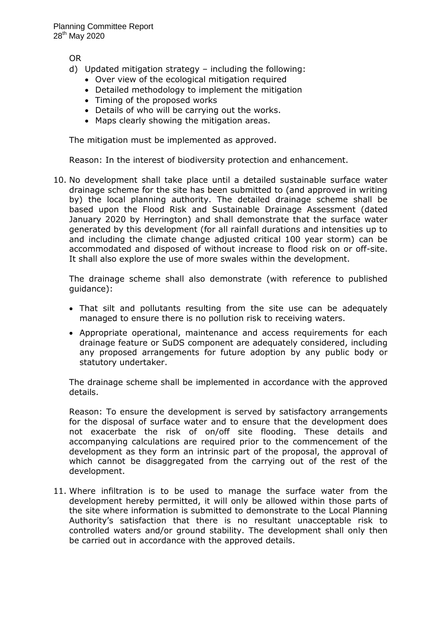OR

- d) Updated mitigation strategy including the following:
	- Over view of the ecological mitigation required
	- Detailed methodology to implement the mitigation
	- Timing of the proposed works
	- Details of who will be carrying out the works.
	- Maps clearly showing the mitigation areas.

The mitigation must be implemented as approved.

Reason: In the interest of biodiversity protection and enhancement.

10. No development shall take place until a detailed sustainable surface water drainage scheme for the site has been submitted to (and approved in writing by) the local planning authority. The detailed drainage scheme shall be based upon the Flood Risk and Sustainable Drainage Assessment (dated January 2020 by Herrington) and shall demonstrate that the surface water generated by this development (for all rainfall durations and intensities up to and including the climate change adjusted critical 100 year storm) can be accommodated and disposed of without increase to flood risk on or off-site. It shall also explore the use of more swales within the development.

The drainage scheme shall also demonstrate (with reference to published guidance):

- That silt and pollutants resulting from the site use can be adequately managed to ensure there is no pollution risk to receiving waters.
- Appropriate operational, maintenance and access requirements for each drainage feature or SuDS component are adequately considered, including any proposed arrangements for future adoption by any public body or statutory undertaker.

The drainage scheme shall be implemented in accordance with the approved details.

Reason: To ensure the development is served by satisfactory arrangements for the disposal of surface water and to ensure that the development does not exacerbate the risk of on/off site flooding. These details and accompanying calculations are required prior to the commencement of the development as they form an intrinsic part of the proposal, the approval of which cannot be disaggregated from the carrying out of the rest of the development.

11. Where infiltration is to be used to manage the surface water from the development hereby permitted, it will only be allowed within those parts of the site where information is submitted to demonstrate to the Local Planning Authority's satisfaction that there is no resultant unacceptable risk to controlled waters and/or ground stability. The development shall only then be carried out in accordance with the approved details.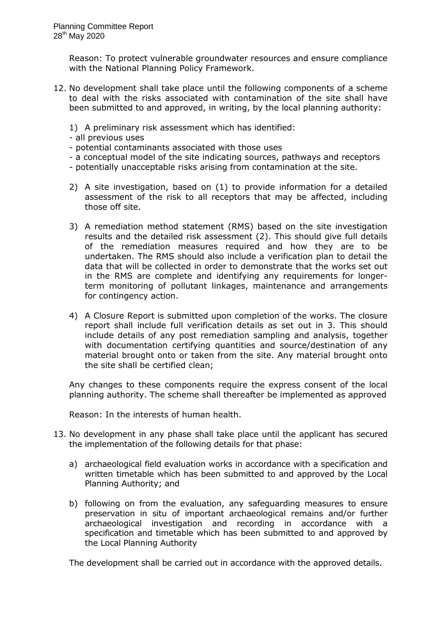Reason: To protect vulnerable groundwater resources and ensure compliance with the National Planning Policy Framework.

- 12. No development shall take place until the following components of a scheme to deal with the risks associated with contamination of the site shall have been submitted to and approved, in writing, by the local planning authority:
	- 1) A preliminary risk assessment which has identified:
	- all previous uses
	- potential contaminants associated with those uses
	- a conceptual model of the site indicating sources, pathways and receptors
	- potentially unacceptable risks arising from contamination at the site.
	- 2) A site investigation, based on (1) to provide information for a detailed assessment of the risk to all receptors that may be affected, including those off site.
	- 3) A remediation method statement (RMS) based on the site investigation results and the detailed risk assessment (2). This should give full details of the remediation measures required and how they are to be undertaken. The RMS should also include a verification plan to detail the data that will be collected in order to demonstrate that the works set out in the RMS are complete and identifying any requirements for longerterm monitoring of pollutant linkages, maintenance and arrangements for contingency action.
	- 4) A Closure Report is submitted upon completion of the works. The closure report shall include full verification details as set out in 3. This should include details of any post remediation sampling and analysis, together with documentation certifying quantities and source/destination of any material brought onto or taken from the site. Any material brought onto the site shall be certified clean;

Any changes to these components require the express consent of the local planning authority. The scheme shall thereafter be implemented as approved

Reason: In the interests of human health.

- 13. No development in any phase shall take place until the applicant has secured the implementation of the following details for that phase:
	- a) archaeological field evaluation works in accordance with a specification and written timetable which has been submitted to and approved by the Local Planning Authority; and
	- b) following on from the evaluation, any safeguarding measures to ensure preservation in situ of important archaeological remains and/or further archaeological investigation and recording in accordance with a specification and timetable which has been submitted to and approved by the Local Planning Authority

The development shall be carried out in accordance with the approved details.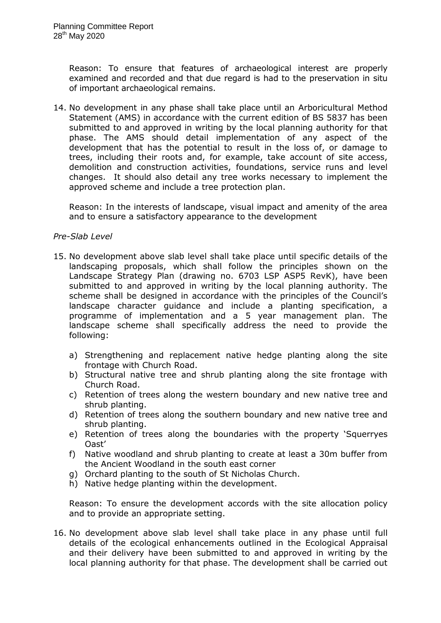Reason: To ensure that features of archaeological interest are properly examined and recorded and that due regard is had to the preservation in situ of important archaeological remains.

14. No development in any phase shall take place until an Arboricultural Method Statement (AMS) in accordance with the current edition of BS 5837 has been submitted to and approved in writing by the local planning authority for that phase. The AMS should detail implementation of any aspect of the development that has the potential to result in the loss of, or damage to trees, including their roots and, for example, take account of site access, demolition and construction activities, foundations, service runs and level changes. It should also detail any tree works necessary to implement the approved scheme and include a tree protection plan.

Reason: In the interests of landscape, visual impact and amenity of the area and to ensure a satisfactory appearance to the development

### *Pre-Slab Level*

- 15. No development above slab level shall take place until specific details of the landscaping proposals, which shall follow the principles shown on the Landscape Strategy Plan (drawing no. 6703 LSP ASP5 RevK), have been submitted to and approved in writing by the local planning authority. The scheme shall be designed in accordance with the principles of the Council's landscape character guidance and include a planting specification, a programme of implementation and a 5 year management plan. The landscape scheme shall specifically address the need to provide the following:
	- a) Strengthening and replacement native hedge planting along the site frontage with Church Road.
	- b) Structural native tree and shrub planting along the site frontage with Church Road.
	- c) Retention of trees along the western boundary and new native tree and shrub planting.
	- d) Retention of trees along the southern boundary and new native tree and shrub planting.
	- e) Retention of trees along the boundaries with the property 'Squerryes Oast'
	- f) Native woodland and shrub planting to create at least a 30m buffer from the Ancient Woodland in the south east corner
	- g) Orchard planting to the south of St Nicholas Church.
	- h) Native hedge planting within the development.

Reason: To ensure the development accords with the site allocation policy and to provide an appropriate setting.

16. No development above slab level shall take place in any phase until full details of the ecological enhancements outlined in the Ecological Appraisal and their delivery have been submitted to and approved in writing by the local planning authority for that phase. The development shall be carried out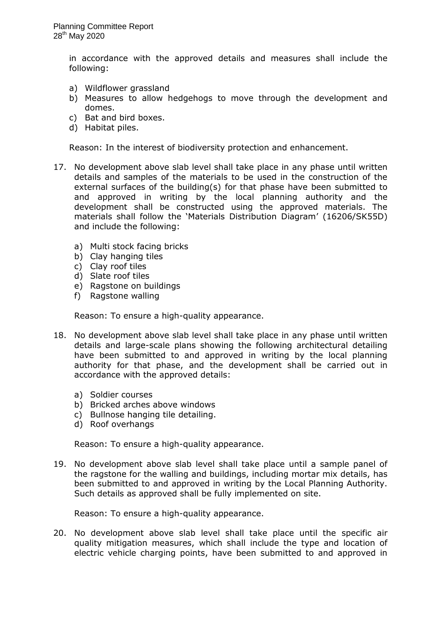in accordance with the approved details and measures shall include the following:

- a) Wildflower grassland
- b) Measures to allow hedgehogs to move through the development and domes.
- c) Bat and bird boxes.
- d) Habitat piles.

Reason: In the interest of biodiversity protection and enhancement.

- 17. No development above slab level shall take place in any phase until written details and samples of the materials to be used in the construction of the external surfaces of the building(s) for that phase have been submitted to and approved in writing by the local planning authority and the development shall be constructed using the approved materials. The materials shall follow the 'Materials Distribution Diagram' (16206/SK55D) and include the following:
	- a) Multi stock facing bricks
	- b) Clay hanging tiles
	- c) Clay roof tiles
	- d) Slate roof tiles
	- e) Ragstone on buildings
	- f) Ragstone walling

Reason: To ensure a high-quality appearance.

- 18. No development above slab level shall take place in any phase until written details and large-scale plans showing the following architectural detailing have been submitted to and approved in writing by the local planning authority for that phase, and the development shall be carried out in accordance with the approved details:
	- a) Soldier courses
	- b) Bricked arches above windows
	- c) Bullnose hanging tile detailing.
	- d) Roof overhangs

Reason: To ensure a high-quality appearance.

19. No development above slab level shall take place until a sample panel of the ragstone for the walling and buildings, including mortar mix details, has been submitted to and approved in writing by the Local Planning Authority. Such details as approved shall be fully implemented on site.

Reason: To ensure a high-quality appearance.

20. No development above slab level shall take place until the specific air quality mitigation measures, which shall include the type and location of electric vehicle charging points, have been submitted to and approved in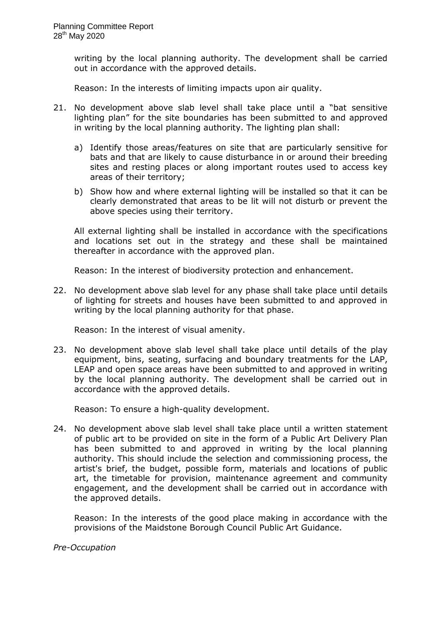writing by the local planning authority. The development shall be carried out in accordance with the approved details.

Reason: In the interests of limiting impacts upon air quality.

- 21. No development above slab level shall take place until a "bat sensitive lighting plan" for the site boundaries has been submitted to and approved in writing by the local planning authority. The lighting plan shall:
	- a) Identify those areas/features on site that are particularly sensitive for bats and that are likely to cause disturbance in or around their breeding sites and resting places or along important routes used to access key areas of their territory;
	- b) Show how and where external lighting will be installed so that it can be clearly demonstrated that areas to be lit will not disturb or prevent the above species using their territory.

All external lighting shall be installed in accordance with the specifications and locations set out in the strategy and these shall be maintained thereafter in accordance with the approved plan.

Reason: In the interest of biodiversity protection and enhancement.

22. No development above slab level for any phase shall take place until details of lighting for streets and houses have been submitted to and approved in writing by the local planning authority for that phase.

Reason: In the interest of visual amenity.

23. No development above slab level shall take place until details of the play equipment, bins, seating, surfacing and boundary treatments for the LAP, LEAP and open space areas have been submitted to and approved in writing by the local planning authority. The development shall be carried out in accordance with the approved details.

Reason: To ensure a high-quality development.

24. No development above slab level shall take place until a written statement of public art to be provided on site in the form of a Public Art Delivery Plan has been submitted to and approved in writing by the local planning authority. This should include the selection and commissioning process, the artist's brief, the budget, possible form, materials and locations of public art, the timetable for provision, maintenance agreement and community engagement, and the development shall be carried out in accordance with the approved details.

Reason: In the interests of the good place making in accordance with the provisions of the Maidstone Borough Council Public Art Guidance.

*Pre-Occupation*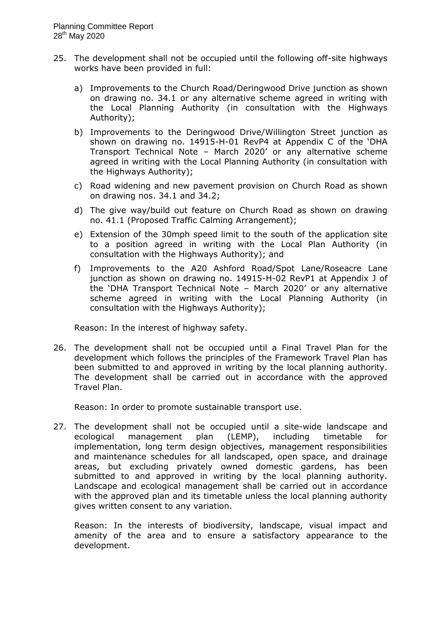- 25. The development shall not be occupied until the following off-site highways works have been provided in full:
	- a) Improvements to the Church Road/Deringwood Drive junction as shown on drawing no. 34.1 or any alternative scheme agreed in writing with the Local Planning Authority (in consultation with the Highways Authority);
	- b) Improvements to the Deringwood Drive/Willington Street junction as shown on drawing no. 14915-H-01 RevP4 at Appendix C of the 'DHA Transport Technical Note – March 2020' or any alternative scheme agreed in writing with the Local Planning Authority (in consultation with the Highways Authority);
	- c) Road widening and new pavement provision on Church Road as shown on drawing nos. 34.1 and 34.2;
	- d) The give way/build out feature on Church Road as shown on drawing no. 41.1 (Proposed Traffic Calming Arrangement);
	- e) Extension of the 30mph speed limit to the south of the application site to a position agreed in writing with the Local Plan Authority (in consultation with the Highways Authority); and
	- f) Improvements to the A20 Ashford Road/Spot Lane/Roseacre Lane junction as shown on drawing no. 14915-H-02 RevP1 at Appendix J of the 'DHA Transport Technical Note – March 2020' or any alternative scheme agreed in writing with the Local Planning Authority (in consultation with the Highways Authority);

Reason: In the interest of highway safety.

26. The development shall not be occupied until a Final Travel Plan for the development which follows the principles of the Framework Travel Plan has been submitted to and approved in writing by the local planning authority. The development shall be carried out in accordance with the approved Travel Plan.

Reason: In order to promote sustainable transport use.

27. The development shall not be occupied until a site-wide landscape and ecological management plan (LEMP), including timetable for implementation, long term design objectives, management responsibilities and maintenance schedules for all landscaped, open space, and drainage areas, but excluding privately owned domestic gardens, has been submitted to and approved in writing by the local planning authority. Landscape and ecological management shall be carried out in accordance with the approved plan and its timetable unless the local planning authority gives written consent to any variation.

Reason: In the interests of biodiversity, landscape, visual impact and amenity of the area and to ensure a satisfactory appearance to the development.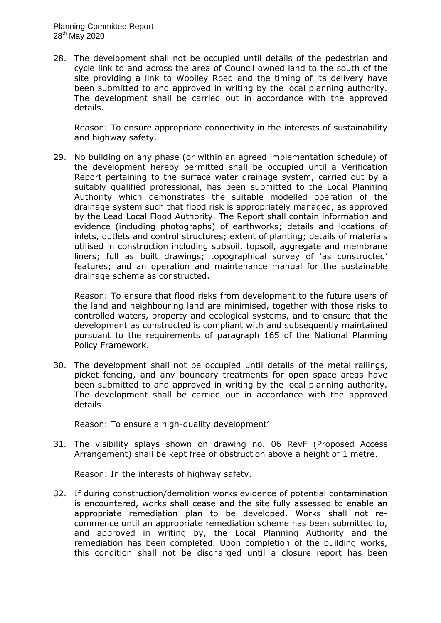28. The development shall not be occupied until details of the pedestrian and cycle link to and across the area of Council owned land to the south of the site providing a link to Woolley Road and the timing of its delivery have been submitted to and approved in writing by the local planning authority. The development shall be carried out in accordance with the approved details.

Reason: To ensure appropriate connectivity in the interests of sustainability and highway safety.

29. No building on any phase (or within an agreed implementation schedule) of the development hereby permitted shall be occupied until a Verification Report pertaining to the surface water drainage system, carried out by a suitably qualified professional, has been submitted to the Local Planning Authority which demonstrates the suitable modelled operation of the drainage system such that flood risk is appropriately managed, as approved by the Lead Local Flood Authority. The Report shall contain information and evidence (including photographs) of earthworks; details and locations of inlets, outlets and control structures; extent of planting; details of materials utilised in construction including subsoil, topsoil, aggregate and membrane liners; full as built drawings; topographical survey of 'as constructed' features; and an operation and maintenance manual for the sustainable drainage scheme as constructed.

Reason: To ensure that flood risks from development to the future users of the land and neighbouring land are minimised, together with those risks to controlled waters, property and ecological systems, and to ensure that the development as constructed is compliant with and subsequently maintained pursuant to the requirements of paragraph 165 of the National Planning Policy Framework.

30. The development shall not be occupied until details of the metal railings, picket fencing, and any boundary treatments for open space areas have been submitted to and approved in writing by the local planning authority. The development shall be carried out in accordance with the approved details

Reason: To ensure a high-quality development'

31. The visibility splays shown on drawing no. 06 RevF (Proposed Access Arrangement) shall be kept free of obstruction above a height of 1 metre.

Reason: In the interests of highway safety.

32. If during construction/demolition works evidence of potential contamination is encountered, works shall cease and the site fully assessed to enable an appropriate remediation plan to be developed. Works shall not recommence until an appropriate remediation scheme has been submitted to, and approved in writing by, the Local Planning Authority and the remediation has been completed. Upon completion of the building works, this condition shall not be discharged until a closure report has been